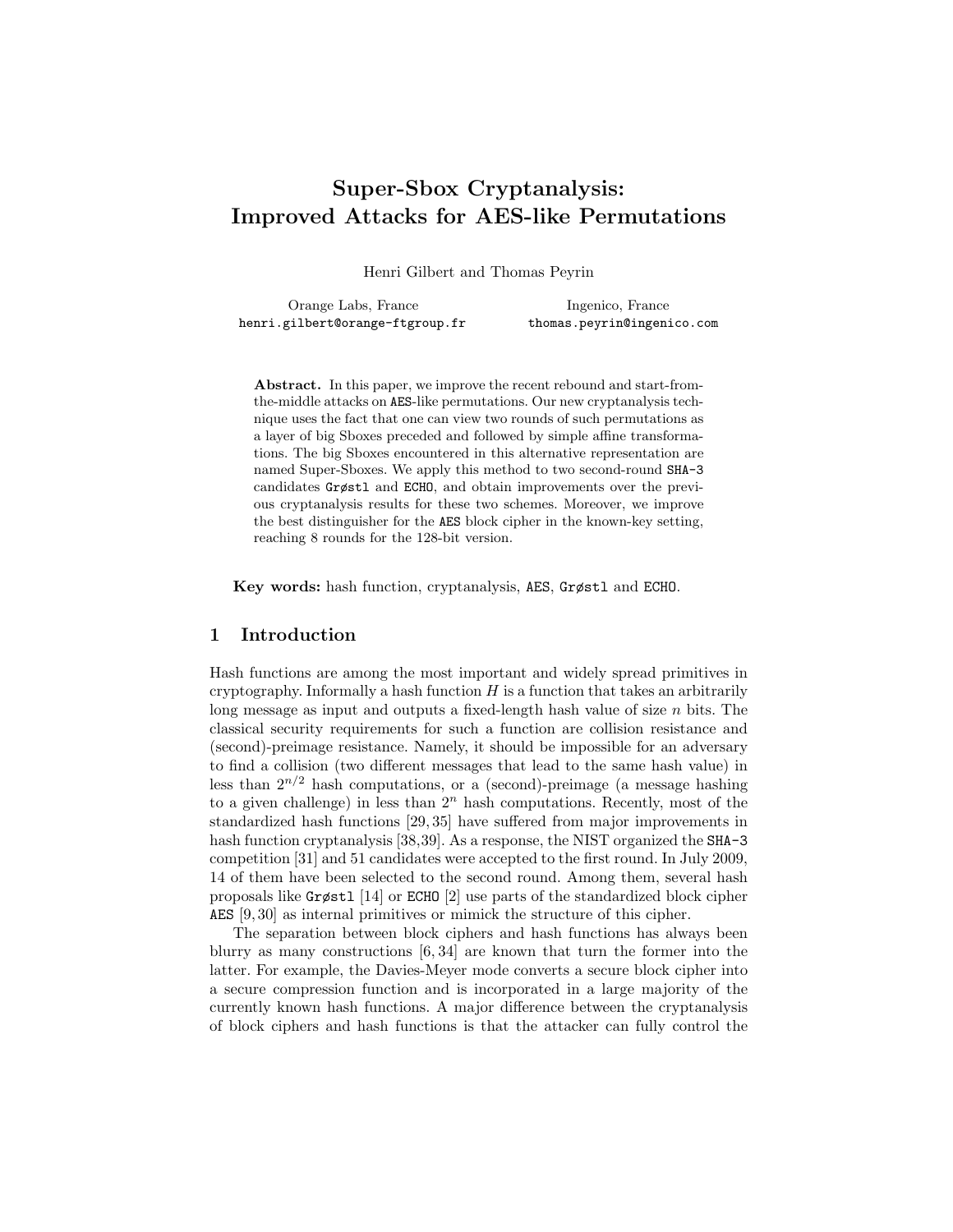# Super-Sbox Cryptanalysis: Improved Attacks for AES-like Permutations

Henri Gilbert and Thomas Peyrin

Orange Labs, France Ingenico, France henri.gilbert@orange-ftgroup.fr thomas.peyrin@ingenico.com

Abstract. In this paper, we improve the recent rebound and start-fromthe-middle attacks on AES-like permutations. Our new cryptanalysis technique uses the fact that one can view two rounds of such permutations as a layer of big Sboxes preceded and followed by simple affine transformations. The big Sboxes encountered in this alternative representation are named Super-Sboxes. We apply this method to two second-round SHA-3 candidates Grøstl and ECHO, and obtain improvements over the previous cryptanalysis results for these two schemes. Moreover, we improve the best distinguisher for the AES block cipher in the known-key setting, reaching 8 rounds for the 128-bit version.

Key words: hash function, cryptanalysis, AES, Grøstl and ECHO.

## 1 Introduction

Hash functions are among the most important and widely spread primitives in cryptography. Informally a hash function  $H$  is a function that takes an arbitrarily long message as input and outputs a fixed-length hash value of size n bits. The classical security requirements for such a function are collision resistance and (second)-preimage resistance. Namely, it should be impossible for an adversary to find a collision (two different messages that lead to the same hash value) in less than  $2^{n/2}$  hash computations, or a (second)-preimage (a message hashing to a given challenge) in less than  $2<sup>n</sup>$  hash computations. Recently, most of the standardized hash functions [29, 35] have suffered from major improvements in hash function cryptanalysis [38,39]. As a response, the NIST organized the **SHA-3** competition [31] and 51 candidates were accepted to the first round. In July 2009, 14 of them have been selected to the second round. Among them, several hash proposals like Grøstl [14] or ECHO [2] use parts of the standardized block cipher AES [9, 30] as internal primitives or mimick the structure of this cipher.

The separation between block ciphers and hash functions has always been blurry as many constructions [6, 34] are known that turn the former into the latter. For example, the Davies-Meyer mode converts a secure block cipher into a secure compression function and is incorporated in a large majority of the currently known hash functions. A major difference between the cryptanalysis of block ciphers and hash functions is that the attacker can fully control the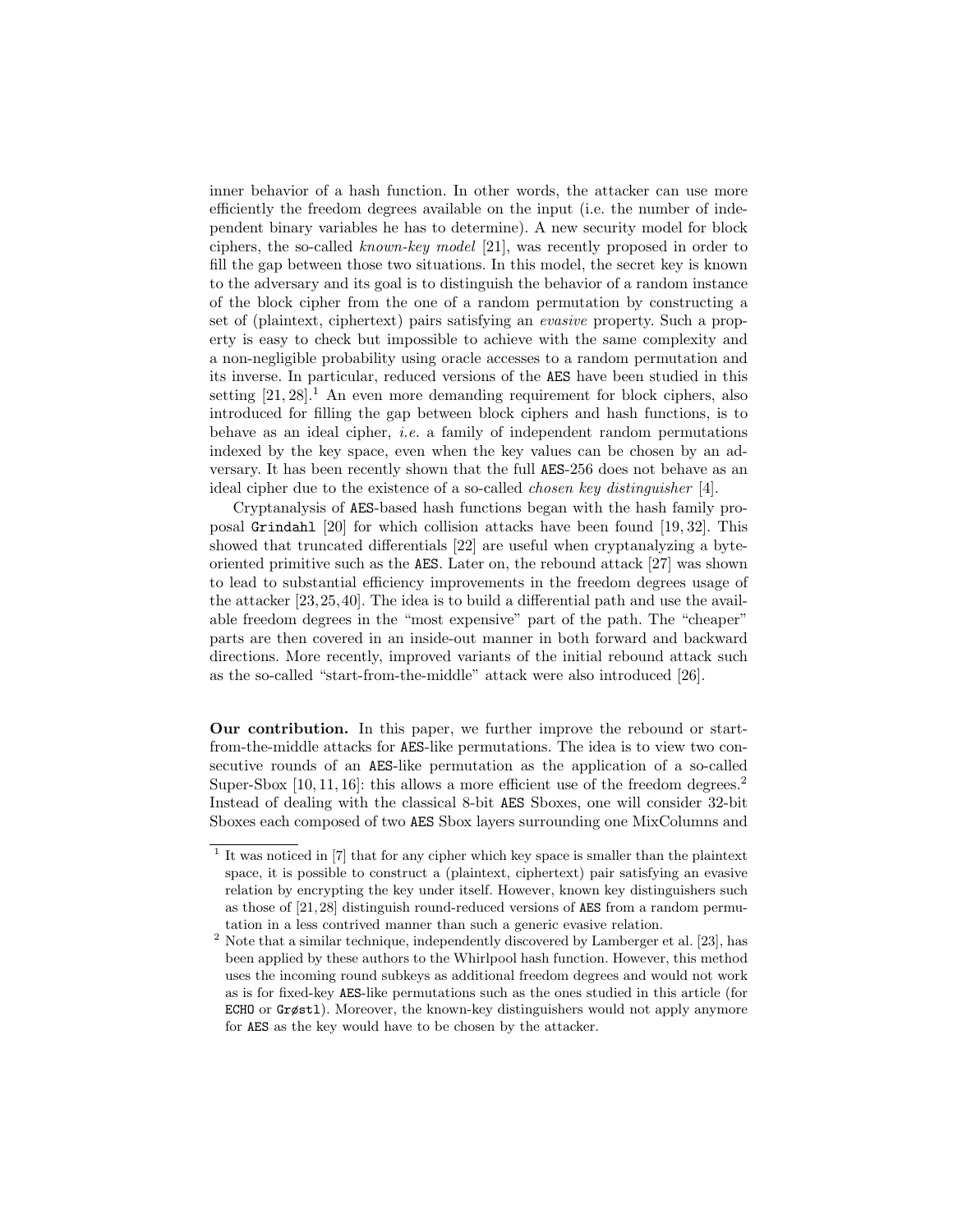inner behavior of a hash function. In other words, the attacker can use more efficiently the freedom degrees available on the input (i.e. the number of independent binary variables he has to determine). A new security model for block ciphers, the so-called known-key model [21], was recently proposed in order to fill the gap between those two situations. In this model, the secret key is known to the adversary and its goal is to distinguish the behavior of a random instance of the block cipher from the one of a random permutation by constructing a set of (plaintext, ciphertext) pairs satisfying an evasive property. Such a property is easy to check but impossible to achieve with the same complexity and a non-negligible probability using oracle accesses to a random permutation and its inverse. In particular, reduced versions of the AES have been studied in this setting  $[21, 28]$ .<sup>1</sup> An even more demanding requirement for block ciphers, also introduced for filling the gap between block ciphers and hash functions, is to behave as an ideal cipher, i.e. a family of independent random permutations indexed by the key space, even when the key values can be chosen by an adversary. It has been recently shown that the full AES-256 does not behave as an ideal cipher due to the existence of a so-called chosen key distinguisher [4].

Cryptanalysis of AES-based hash functions began with the hash family proposal Grindahl [20] for which collision attacks have been found [19, 32]. This showed that truncated differentials [22] are useful when cryptanalyzing a byteoriented primitive such as the AES. Later on, the rebound attack [27] was shown to lead to substantial efficiency improvements in the freedom degrees usage of the attacker [23,25,40]. The idea is to build a differential path and use the available freedom degrees in the "most expensive" part of the path. The "cheaper" parts are then covered in an inside-out manner in both forward and backward directions. More recently, improved variants of the initial rebound attack such as the so-called "start-from-the-middle" attack were also introduced [26].

Our contribution. In this paper, we further improve the rebound or startfrom-the-middle attacks for AES-like permutations. The idea is to view two consecutive rounds of an AES-like permutation as the application of a so-called Super-Sbox  $[10, 11, 16]$ : this allows a more efficient use of the freedom degrees.<sup>2</sup> Instead of dealing with the classical 8-bit AES Sboxes, one will consider 32-bit Sboxes each composed of two AES Sbox layers surrounding one MixColumns and

<sup>&</sup>lt;sup>1</sup> It was noticed in [7] that for any cipher which key space is smaller than the plaintext space, it is possible to construct a (plaintext, ciphertext) pair satisfying an evasive relation by encrypting the key under itself. However, known key distinguishers such as those of [21, 28] distinguish round-reduced versions of AES from a random permutation in a less contrived manner than such a generic evasive relation.

<sup>&</sup>lt;sup>2</sup> Note that a similar technique, independently discovered by Lamberger et al. [23], has been applied by these authors to the Whirlpool hash function. However, this method uses the incoming round subkeys as additional freedom degrees and would not work as is for fixed-key AES-like permutations such as the ones studied in this article (for ECHO or Grøstl). Moreover, the known-key distinguishers would not apply anymore for AES as the key would have to be chosen by the attacker.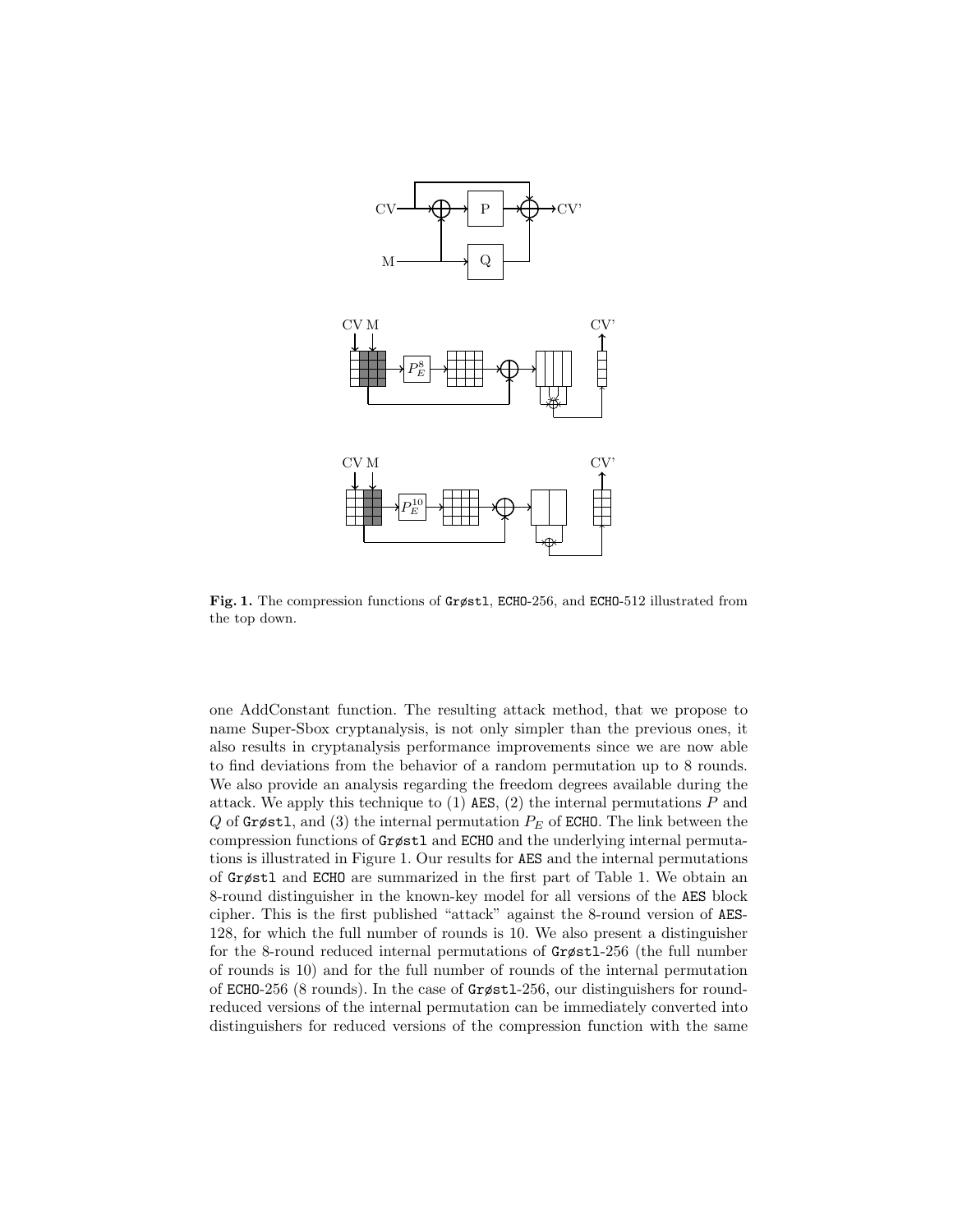

Fig. 1. The compression functions of Grøstl, ECHO-256, and ECHO-512 illustrated from the top down.

one AddConstant function. The resulting attack method, that we propose to name Super-Sbox cryptanalysis, is not only simpler than the previous ones, it also results in cryptanalysis performance improvements since we are now able to find deviations from the behavior of a random permutation up to 8 rounds. We also provide an analysis regarding the freedom degrees available during the attack. We apply this technique to  $(1)$  AES,  $(2)$  the internal permutations P and Q of Grøstl, and (3) the internal permutation  $P_E$  of ECHO. The link between the compression functions of Grøstl and ECHO and the underlying internal permutations is illustrated in Figure 1. Our results for AES and the internal permutations of Grøstl and ECHO are summarized in the first part of Table 1. We obtain an 8-round distinguisher in the known-key model for all versions of the AES block cipher. This is the first published "attack" against the 8-round version of AES-128, for which the full number of rounds is 10. We also present a distinguisher for the 8-round reduced internal permutations of Grøstl-256 (the full number of rounds is 10) and for the full number of rounds of the internal permutation of ECHO-256 (8 rounds). In the case of Grøstl-256, our distinguishers for roundreduced versions of the internal permutation can be immediately converted into distinguishers for reduced versions of the compression function with the same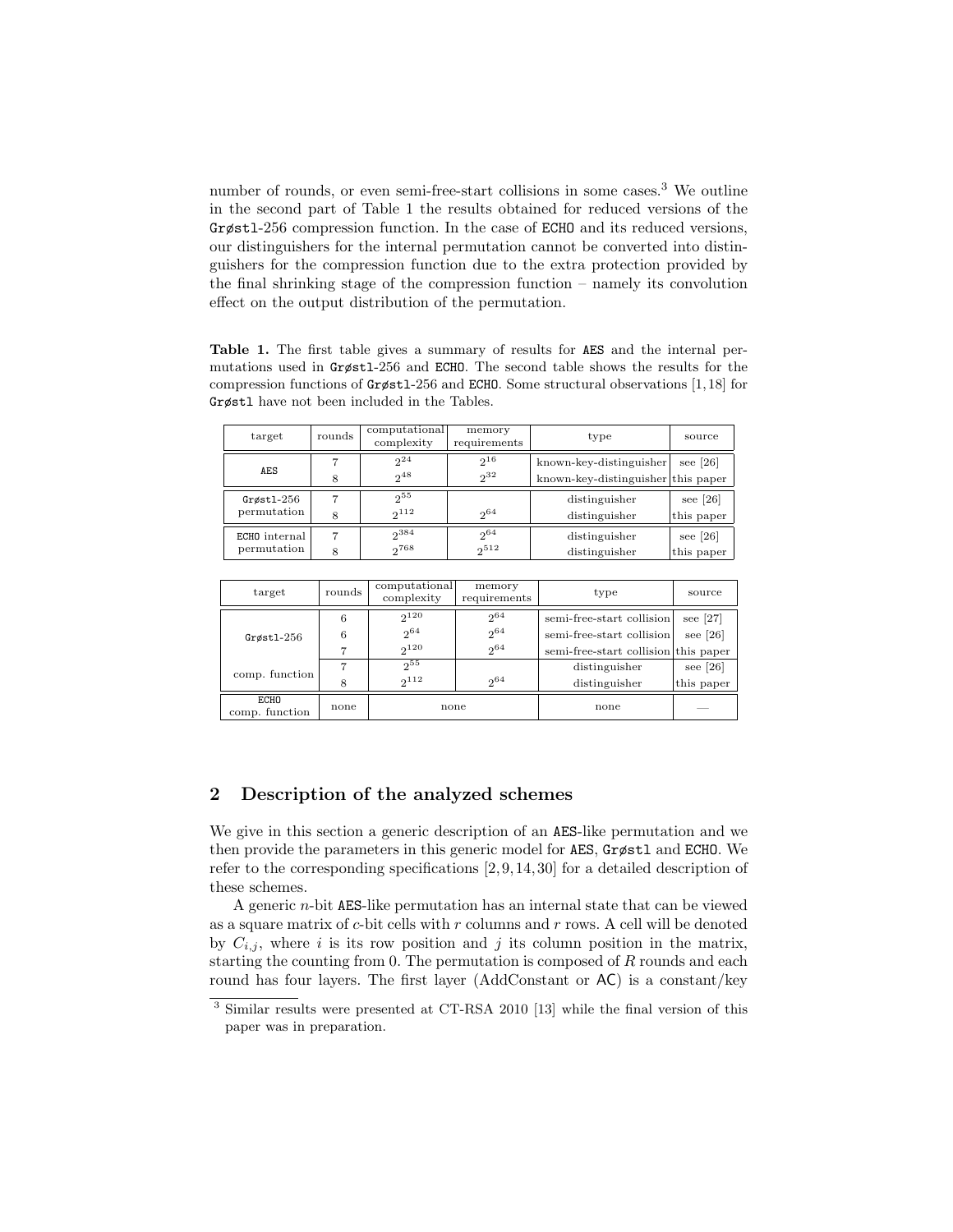number of rounds, or even semi-free-start collisions in some cases.<sup>3</sup> We outline in the second part of Table 1 the results obtained for reduced versions of the Grøstl-256 compression function. In the case of ECHO and its reduced versions, our distinguishers for the internal permutation cannot be converted into distinguishers for the compression function due to the extra protection provided by the final shrinking stage of the compression function – namely its convolution effect on the output distribution of the permutation.

Table 1. The first table gives a summary of results for AES and the internal permutations used in Grøstl-256 and ECHO. The second table shows the results for the compression functions of Grøstl-256 and ECHO. Some structural observations [1, 18] for Grøstl have not been included in the Tables.

| target                       | rounds | computational<br>complexity | memory<br>requirements | type                                                          | source                   |
|------------------------------|--------|-----------------------------|------------------------|---------------------------------------------------------------|--------------------------|
| AES                          | 8      | $2^{24}$<br>248             | $2^{16}$<br>$2^{32}$   | known-key-distinguisher<br>known-key-distinguisher this paper | see [26]                 |
| $Grøst1-256$<br>permutation  | 8      | $2^{55}$<br>$2^{112}$       | 2064                   | distinguisher<br>distinguisher                                | see $[26]$<br>this paper |
| ECHO internal<br>permutation | 7<br>8 | 2384<br>2768                | $2^{64}$<br>$2^{512}$  | distinguisher<br>distinguisher                                | see $[26]$<br>this paper |

| target                        | rounds | computational<br>complexity        | memory<br>requirements       | type                                                                                           | source                   |
|-------------------------------|--------|------------------------------------|------------------------------|------------------------------------------------------------------------------------------------|--------------------------|
| $G$ røstl- $256$              | 6<br>6 | $2^{120}$<br>$2^{64}$<br>$2^{120}$ | $2^{64}$<br>$2^{64}$<br>2064 | semi-free-start collision<br>semi-free-start collision<br>semi-free-start collision this paper | see $[27]$<br>see $[26]$ |
| comp. function                | 8      | 255<br>$2^{112}$                   | 20 <sup>64</sup>             | distinguisher<br>distinguisher                                                                 | see $[26]$<br>this paper |
| <b>ECHO</b><br>comp. function | none   | none                               |                              | none                                                                                           |                          |

## 2 Description of the analyzed schemes

We give in this section a generic description of an AES-like permutation and we then provide the parameters in this generic model for AES, Grøstl and ECHO. We refer to the corresponding specifications [2, 9, 14, 30] for a detailed description of these schemes.

A generic n-bit AES-like permutation has an internal state that can be viewed as a square matrix of  $c$ -bit cells with  $r$  columns and  $r$  rows. A cell will be denoted by  $C_{i,j}$ , where i is its row position and j its column position in the matrix, starting the counting from  $0$ . The permutation is composed of  $R$  rounds and each round has four layers. The first layer (AddConstant or AC) is a constant/key

<sup>3</sup> Similar results were presented at CT-RSA 2010 [13] while the final version of this paper was in preparation.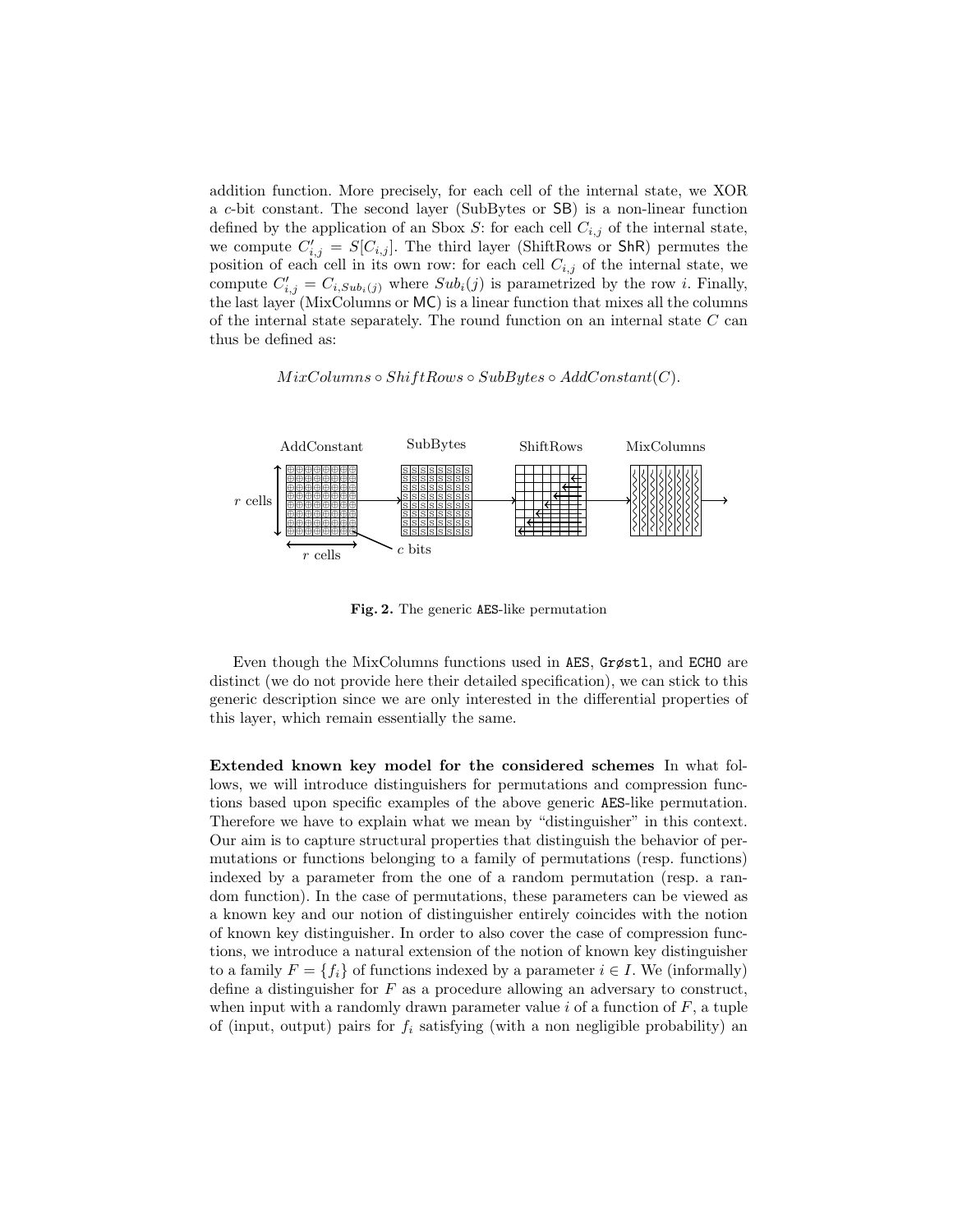addition function. More precisely, for each cell of the internal state, we XOR a c-bit constant. The second layer (SubBytes or SB) is a non-linear function defined by the application of an Sbox S: for each cell  $C_{i,j}$  of the internal state, we compute  $C'_{i,j} = S[C_{i,j}]$ . The third layer (ShiftRows or ShR) permutes the position of each cell in its own row: for each cell  $C_{i,j}$  of the internal state, we compute  $C'_{i,j} = C_{i,Sub_i(j)}$  where  $Sub_i(j)$  is parametrized by the row *i*. Finally, the last layer (MixColumns or MC) is a linear function that mixes all the columns of the internal state separately. The round function on an internal state  $C$  can thus be defined as:

## $MixColumns \circ ShiftRows \circ SubBytes \circ AddConstant(C).$



Fig. 2. The generic AES-like permutation

Even though the MixColumns functions used in AES, Grøstl, and ECHO are distinct (we do not provide here their detailed specification), we can stick to this generic description since we are only interested in the differential properties of this layer, which remain essentially the same.

Extended known key model for the considered schemes In what follows, we will introduce distinguishers for permutations and compression functions based upon specific examples of the above generic AES-like permutation. Therefore we have to explain what we mean by "distinguisher" in this context. Our aim is to capture structural properties that distinguish the behavior of permutations or functions belonging to a family of permutations (resp. functions) indexed by a parameter from the one of a random permutation (resp. a random function). In the case of permutations, these parameters can be viewed as a known key and our notion of distinguisher entirely coincides with the notion of known key distinguisher. In order to also cover the case of compression functions, we introduce a natural extension of the notion of known key distinguisher to a family  $F = \{f_i\}$  of functions indexed by a parameter  $i \in I$ . We (informally) define a distinguisher for F as a procedure allowing an adversary to construct, when input with a randomly drawn parameter value  $i$  of a function of  $F$ , a tuple of (input, output) pairs for  $f_i$  satisfying (with a non negligible probability) an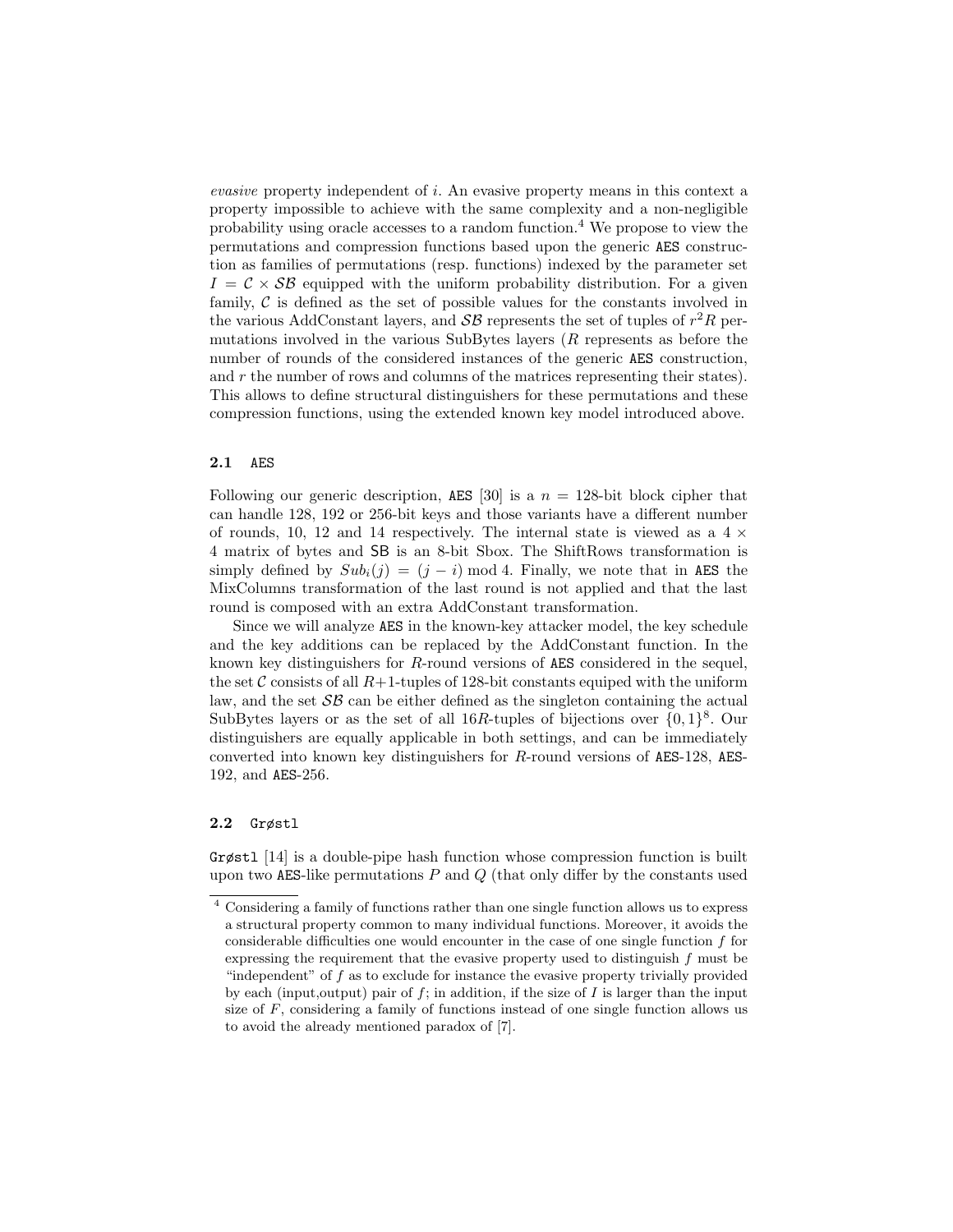evasive property independent of i. An evasive property means in this context a property impossible to achieve with the same complexity and a non-negligible probability using oracle accesses to a random function.<sup>4</sup> We propose to view the permutations and compression functions based upon the generic AES construction as families of permutations (resp. functions) indexed by the parameter set  $I = C \times SB$  equipped with the uniform probability distribution. For a given family,  $\mathcal C$  is defined as the set of possible values for the constants involved in the various AddConstant layers, and  $\mathcal{SB}$  represents the set of tuples of  $r^2R$  permutations involved in the various SubBytes layers (R represents as before the number of rounds of the considered instances of the generic AES construction, and  $r$  the number of rows and columns of the matrices representing their states). This allows to define structural distinguishers for these permutations and these compression functions, using the extended known key model introduced above.

## 2.1 AES

Following our generic description, AES [30] is a  $n = 128$ -bit block cipher that can handle 128, 192 or 256-bit keys and those variants have a different number of rounds, 10, 12 and 14 respectively. The internal state is viewed as a  $4 \times$ 4 matrix of bytes and SB is an 8-bit Sbox. The ShiftRows transformation is simply defined by  $Sub_i(j) = (j - i) \mod 4$ . Finally, we note that in AES the MixColumns transformation of the last round is not applied and that the last round is composed with an extra AddConstant transformation.

Since we will analyze AES in the known-key attacker model, the key schedule and the key additions can be replaced by the AddConstant function. In the known key distinguishers for R-round versions of AES considered in the sequel, the set C consists of all  $R+1$ -tuples of 128-bit constants equiped with the uniform law, and the set  $\mathcal{SB}$  can be either defined as the singleton containing the actual SubBytes layers or as the set of all 16R-tuples of bijections over  $\{0,1\}^8$ . Our distinguishers are equally applicable in both settings, and can be immediately converted into known key distinguishers for R-round versions of AES-128, AES-192, and AES-256.

## 2.2 Grøstl

Grøstl [14] is a double-pipe hash function whose compression function is built upon two AES-like permutations  $P$  and  $Q$  (that only differ by the constants used

<sup>4</sup> Considering a family of functions rather than one single function allows us to express a structural property common to many individual functions. Moreover, it avoids the considerable difficulties one would encounter in the case of one single function  $f$  for expressing the requirement that the evasive property used to distinguish f must be "independent" of  $f$  as to exclude for instance the evasive property trivially provided by each (input, output) pair of  $f$ ; in addition, if the size of  $I$  is larger than the input size of  $F$ , considering a family of functions instead of one single function allows us to avoid the already mentioned paradox of [7].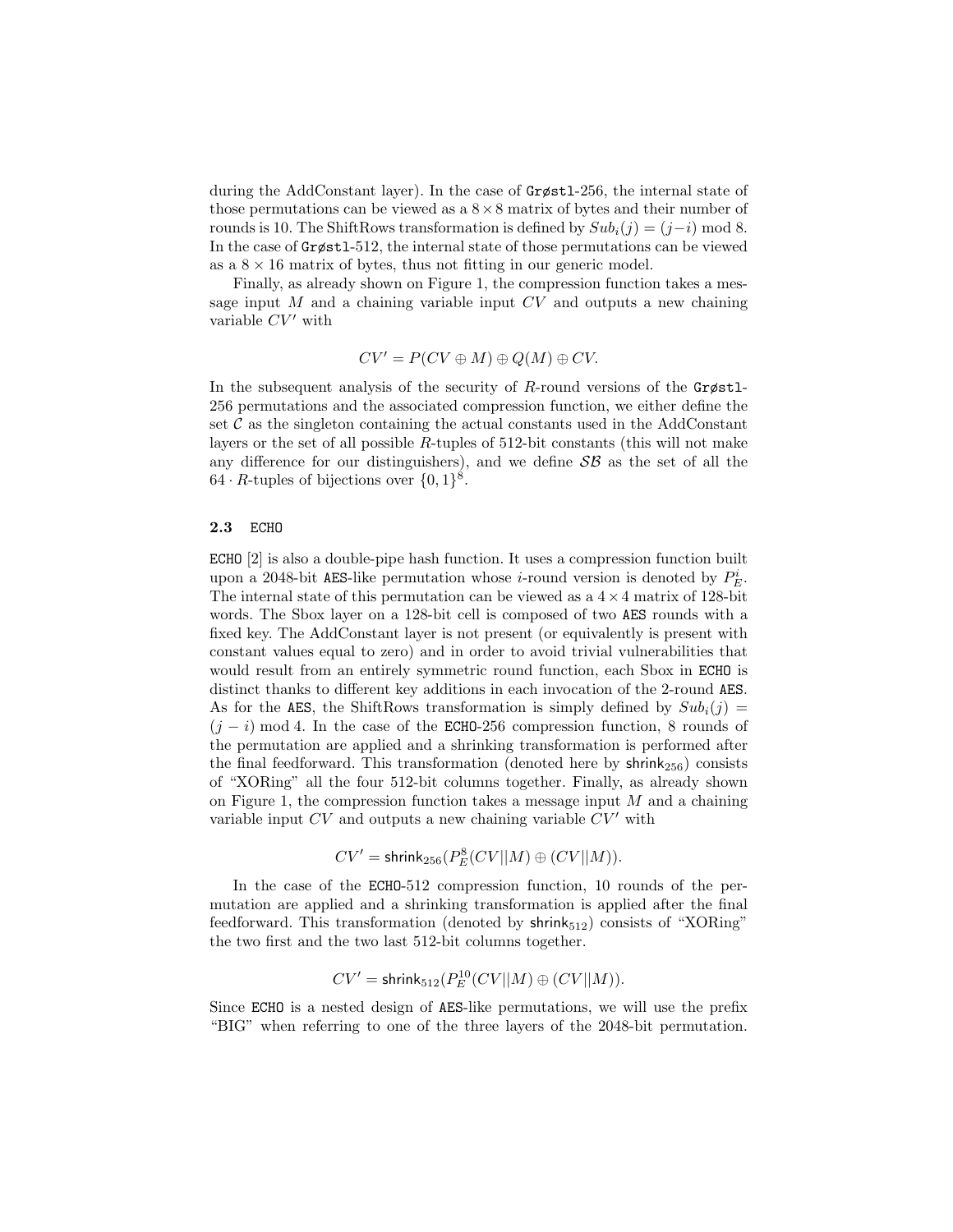during the AddConstant layer). In the case of Grøstl-256, the internal state of those permutations can be viewed as  $a \times 8$  matrix of bytes and their number of rounds is 10. The ShiftRows transformation is defined by  $Sub_i(j) = (j-i) \mod 8$ . In the case of Grøstl-512, the internal state of those permutations can be viewed as a  $8 \times 16$  matrix of bytes, thus not fitting in our generic model.

Finally, as already shown on Figure 1, the compression function takes a message input  $M$  and a chaining variable input  $CV$  and outputs a new chaining variable  $CV'$  with

$$
CV' = P(CV \oplus M) \oplus Q(M) \oplus CV.
$$

In the subsequent analysis of the security of R-round versions of the  $Grøst1$ -256 permutations and the associated compression function, we either define the set  $\mathcal C$  as the singleton containing the actual constants used in the AddConstant layers or the set of all possible R-tuples of 512-bit constants (this will not make any difference for our distinguishers), and we define  $\mathcal{SB}$  as the set of all the  $64 \cdot R$ -tuples of bijections over  $\{0,1\}^8$ .

#### 2.3 ECHO

ECHO [2] is also a double-pipe hash function. It uses a compression function built upon a 2048-bit AES-like permutation whose *i*-round version is denoted by  $P_E^i$ . The internal state of this permutation can be viewed as a  $4 \times 4$  matrix of 128-bit words. The Sbox layer on a 128-bit cell is composed of two AES rounds with a fixed key. The AddConstant layer is not present (or equivalently is present with constant values equal to zero) and in order to avoid trivial vulnerabilities that would result from an entirely symmetric round function, each Sbox in ECHO is distinct thanks to different key additions in each invocation of the 2-round AES. As for the AES, the ShiftRows transformation is simply defined by  $Sub_i(j)$  $(j - i)$  mod 4. In the case of the ECHO-256 compression function, 8 rounds of the permutation are applied and a shrinking transformation is performed after the final feedforward. This transformation (denoted here by  $\text{shrink}_{256}$ ) consists of "XORing" all the four 512-bit columns together. Finally, as already shown on Figure 1, the compression function takes a message input  $M$  and a chaining variable input  $CV$  and outputs a new chaining variable  $CV'$  with

$$
CV' = \text{shrink}_{256}(P^8_E(CV||M) \oplus (CV||M)).
$$

In the case of the ECHO-512 compression function, 10 rounds of the permutation are applied and a shrinking transformation is applied after the final feedforward. This transformation (denoted by  $\text{shrink}_{512}$ ) consists of "XORing" the two first and the two last 512-bit columns together.

$$
CV' = \mathsf{shrink}_{512}(P^{10}_E(CV||M) \oplus (CV||M)).
$$

Since ECHO is a nested design of AES-like permutations, we will use the prefix "BIG" when referring to one of the three layers of the 2048-bit permutation.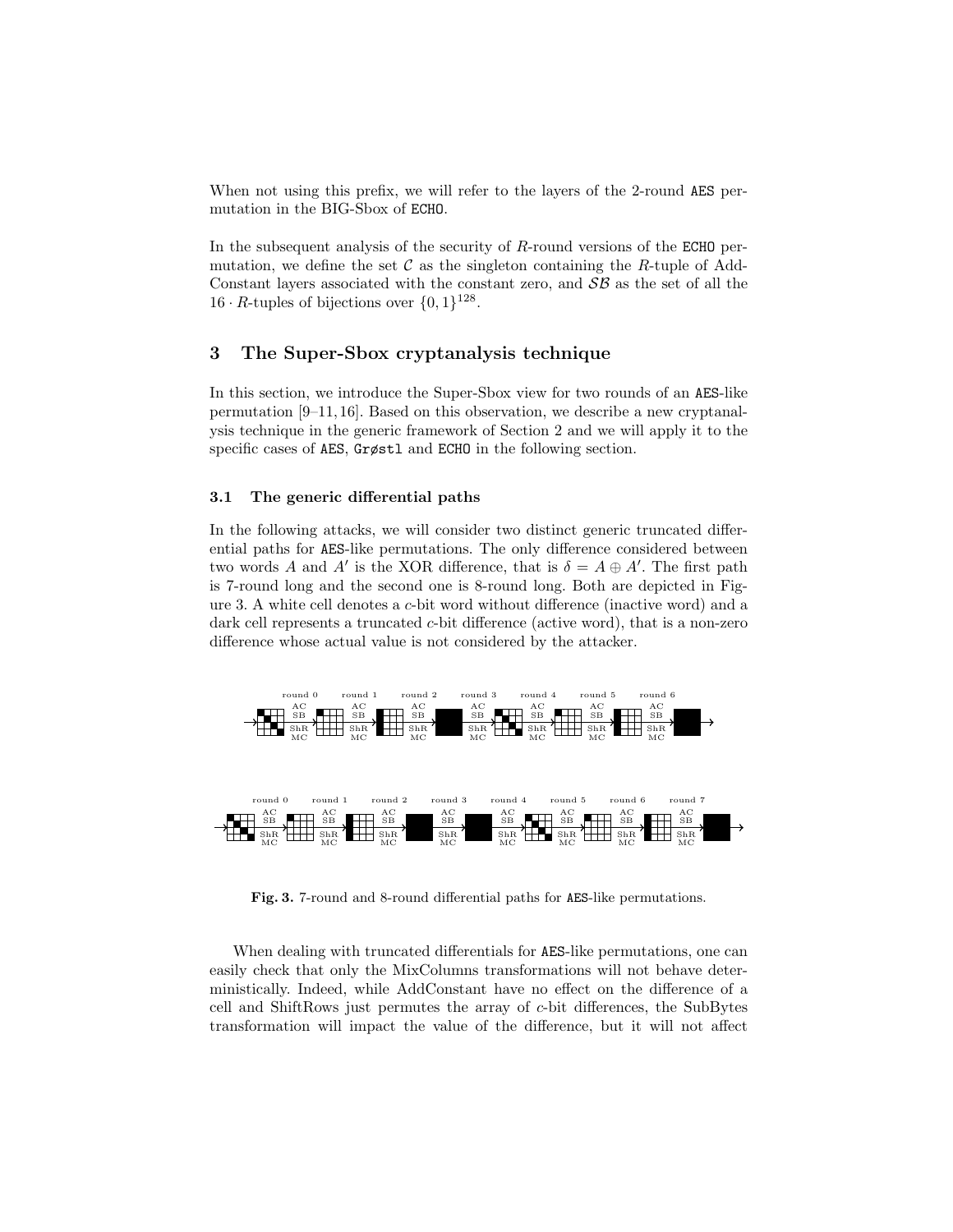When not using this prefix, we will refer to the layers of the 2-round AES permutation in the BIG-Sbox of ECHO.

In the subsequent analysis of the security of  $R$ -round versions of the ECHO permutation, we define the set  $\mathcal C$  as the singleton containing the R-tuple of Add-Constant layers associated with the constant zero, and  $\mathcal{SB}$  as the set of all the 16 · R-tuples of bijections over  $\{0, 1\}^{128}$ .

## 3 The Super-Sbox cryptanalysis technique

In this section, we introduce the Super-Sbox view for two rounds of an AES-like permutation [9–11, 16]. Based on this observation, we describe a new cryptanalysis technique in the generic framework of Section 2 and we will apply it to the specific cases of AES, Grøstl and ECHO in the following section.

## 3.1 The generic differential paths

In the following attacks, we will consider two distinct generic truncated differential paths for AES-like permutations. The only difference considered between two words A and A' is the XOR difference, that is  $\delta = A \oplus A'$ . The first path is 7-round long and the second one is 8-round long. Both are depicted in Figure 3. A white cell denotes a c-bit word without difference (inactive word) and a dark cell represents a truncated c-bit difference (active word), that is a non-zero difference whose actual value is not considered by the attacker.



Fig. 3. 7-round and 8-round differential paths for AES-like permutations.

When dealing with truncated differentials for AES-like permutations, one can easily check that only the MixColumns transformations will not behave deterministically. Indeed, while AddConstant have no effect on the difference of a cell and ShiftRows just permutes the array of c-bit differences, the SubBytes transformation will impact the value of the difference, but it will not affect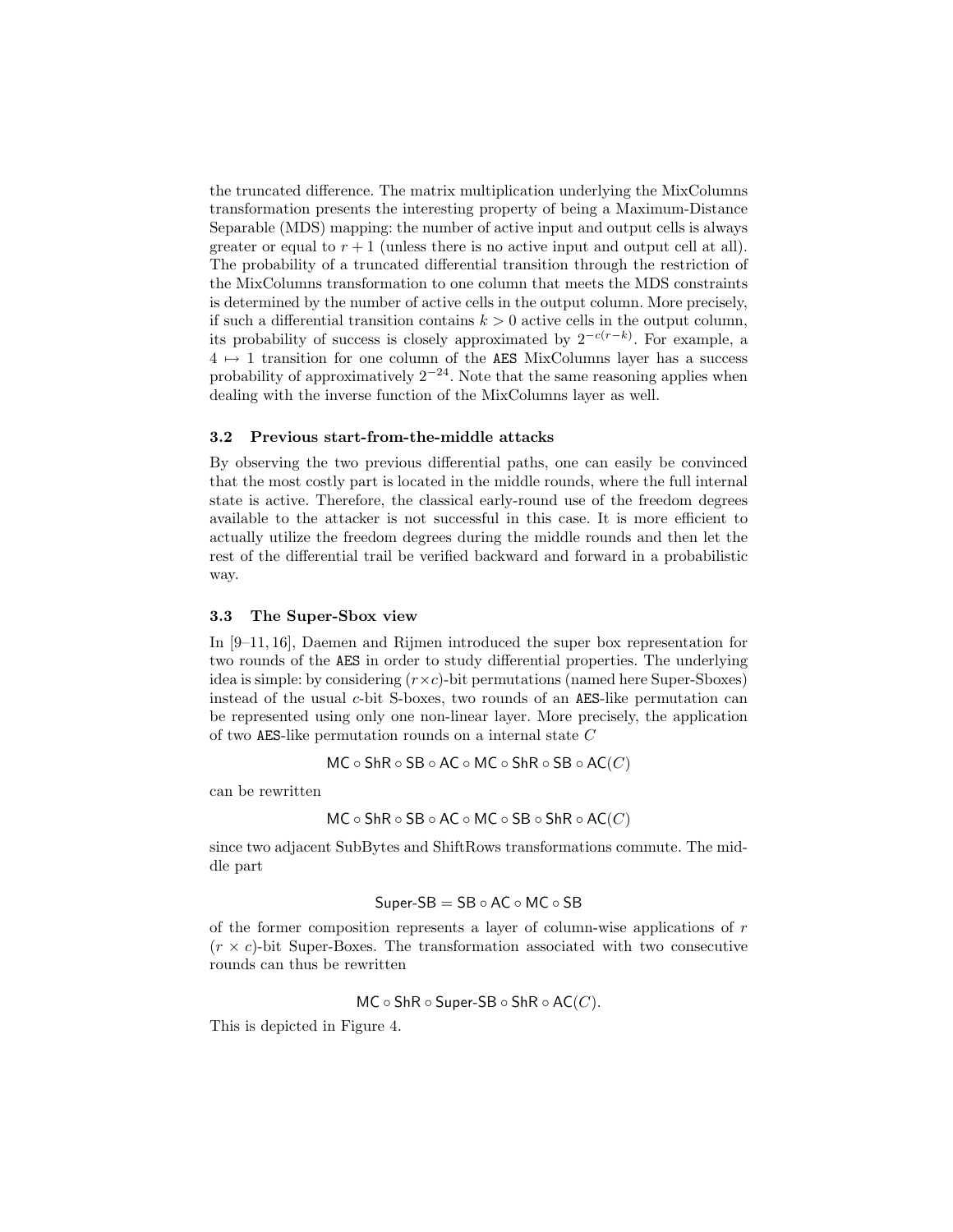the truncated difference. The matrix multiplication underlying the MixColumns transformation presents the interesting property of being a Maximum-Distance Separable (MDS) mapping: the number of active input and output cells is always greater or equal to  $r + 1$  (unless there is no active input and output cell at all). The probability of a truncated differential transition through the restriction of the MixColumns transformation to one column that meets the MDS constraints is determined by the number of active cells in the output column. More precisely, if such a differential transition contains  $k > 0$  active cells in the output column, its probability of success is closely approximated by  $2^{-c(r-k)}$ . For example, a  $4 \mapsto 1$  transition for one column of the AES MixColumns layer has a success probability of approximatively  $2^{-24}$ . Note that the same reasoning applies when dealing with the inverse function of the MixColumns layer as well.

## 3.2 Previous start-from-the-middle attacks

By observing the two previous differential paths, one can easily be convinced that the most costly part is located in the middle rounds, where the full internal state is active. Therefore, the classical early-round use of the freedom degrees available to the attacker is not successful in this case. It is more efficient to actually utilize the freedom degrees during the middle rounds and then let the rest of the differential trail be verified backward and forward in a probabilistic way.

#### 3.3 The Super-Sbox view

In [9–11, 16], Daemen and Rijmen introduced the super box representation for two rounds of the AES in order to study differential properties. The underlying idea is simple: by considering  $(r \times c)$ -bit permutations (named here Super-Sboxes) instead of the usual  $c$ -bit S-boxes, two rounds of an AES-like permutation can be represented using only one non-linear layer. More precisely, the application of two AES-like permutation rounds on a internal state C

$$
\mathsf{MC}\circ\mathsf{ShR}\circ\mathsf{SB}\circ\mathsf{AC}\circ\mathsf{MC}\circ\mathsf{ShR}\circ\mathsf{SB}\circ\mathsf{AC}(C)
$$

can be rewritten

$$
\mathsf{MC}\circ \mathsf{ShR}\circ \mathsf{SB}\circ \mathsf{AC}\circ \mathsf{MC}\circ \mathsf{SB}\circ \mathsf{ShR}\circ \mathsf{AC}(C)
$$

since two adjacent SubBytes and ShiftRows transformations commute. The middle part

$$
Super-SB = SB \circ AC \circ MC \circ SB
$$

of the former composition represents a layer of column-wise applications of  $r$  $(r \times c)$ -bit Super-Boxes. The transformation associated with two consecutive rounds can thus be rewritten

$$
\mathsf{MC}\circ \mathsf{ShR}\circ \mathsf{Super}\text{-}\mathsf{SB}\circ \mathsf{ShR}\circ \mathsf{AC}(C).
$$

This is depicted in Figure 4.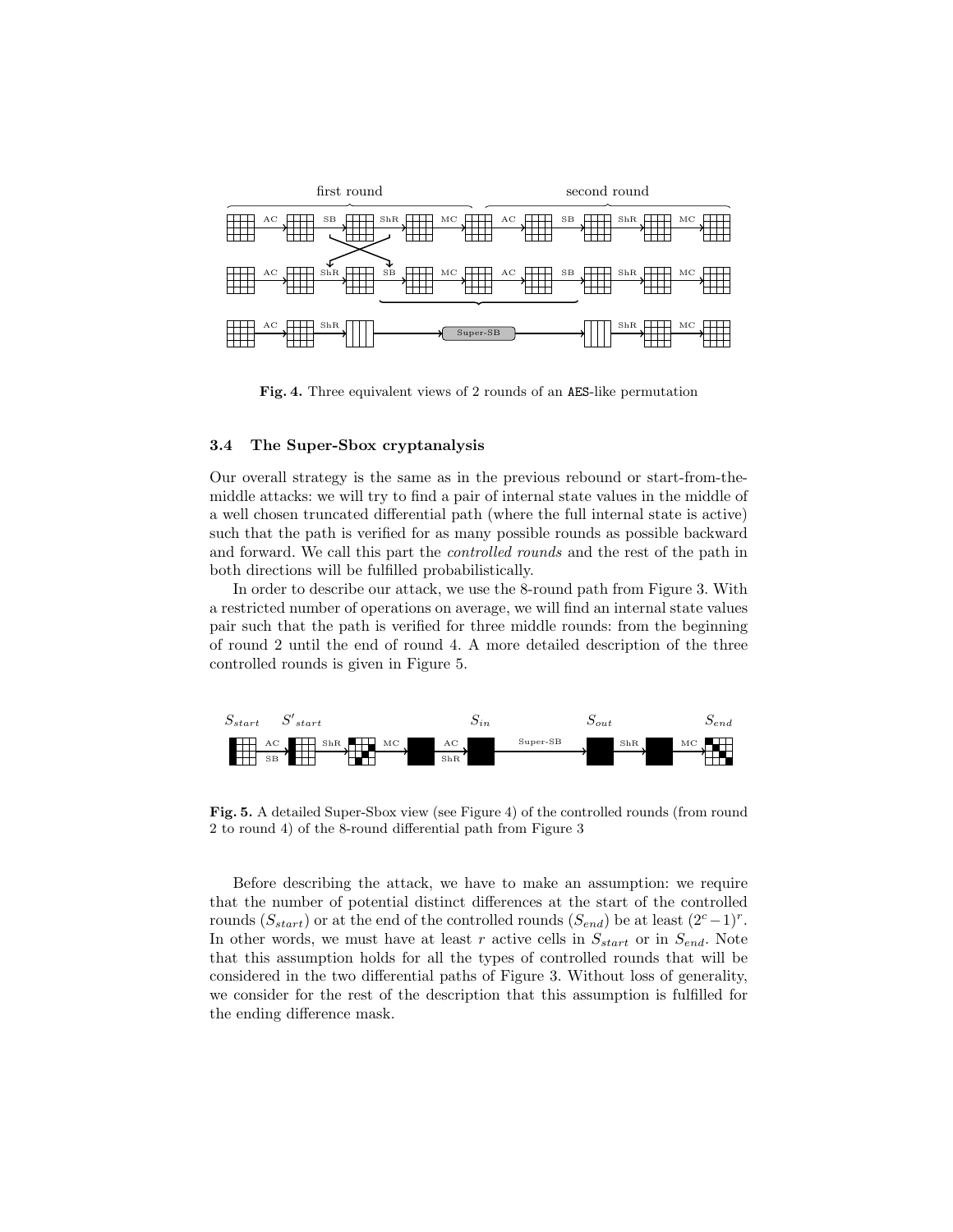

Fig. 4. Three equivalent views of 2 rounds of an AES-like permutation

## 3.4 The Super-Sbox cryptanalysis

Our overall strategy is the same as in the previous rebound or start-from-themiddle attacks: we will try to find a pair of internal state values in the middle of a well chosen truncated differential path (where the full internal state is active) such that the path is verified for as many possible rounds as possible backward and forward. We call this part the controlled rounds and the rest of the path in both directions will be fulfilled probabilistically.

In order to describe our attack, we use the 8-round path from Figure 3. With a restricted number of operations on average, we will find an internal state values pair such that the path is verified for three middle rounds: from the beginning of round 2 until the end of round 4. A more detailed description of the three controlled rounds is given in Figure 5.



Fig. 5. A detailed Super-Sbox view (see Figure 4) of the controlled rounds (from round 2 to round 4) of the 8-round differential path from Figure 3

Before describing the attack, we have to make an assumption: we require that the number of potential distinct differences at the start of the controlled rounds  $(S_{start})$  or at the end of the controlled rounds  $(S_{end})$  be at least  $(2<sup>c</sup> - 1)<sup>r</sup>$ . In other words, we must have at least r active cells in  $S_{start}$  or in  $S_{end}$ . Note that this assumption holds for all the types of controlled rounds that will be considered in the two differential paths of Figure 3. Without loss of generality, we consider for the rest of the description that this assumption is fulfilled for the ending difference mask.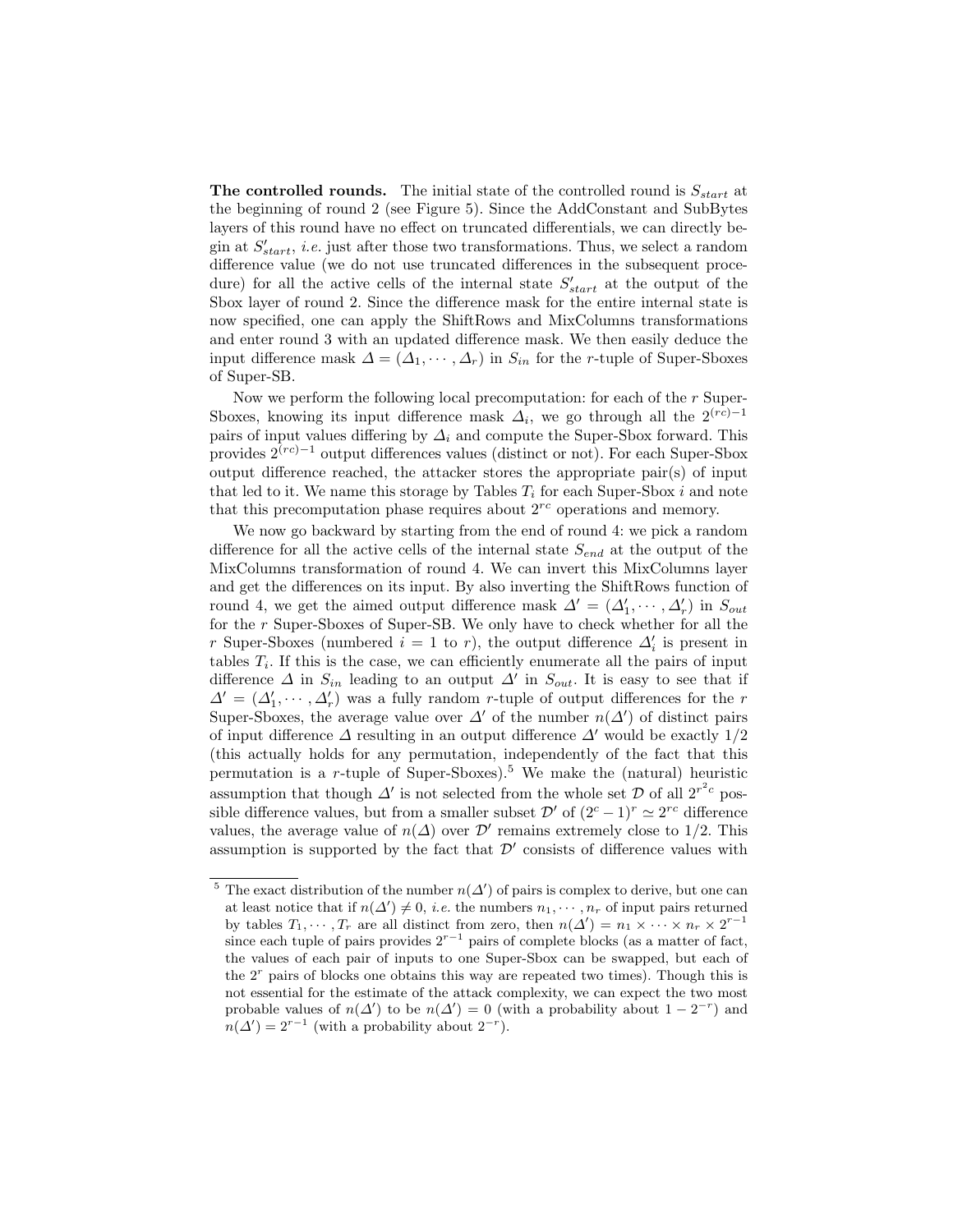**The controlled rounds.** The initial state of the controlled round is  $S_{start}$  at the beginning of round 2 (see Figure 5). Since the AddConstant and SubBytes layers of this round have no effect on truncated differentials, we can directly begin at  $S'_{start}$ , *i.e.* just after those two transformations. Thus, we select a random difference value (we do not use truncated differences in the subsequent procedure) for all the active cells of the internal state  $S'_{start}$  at the output of the Sbox layer of round 2. Since the difference mask for the entire internal state is now specified, one can apply the ShiftRows and MixColumns transformations and enter round 3 with an updated difference mask. We then easily deduce the input difference mask  $\Delta = (\Delta_1, \cdots, \Delta_r)$  in  $S_{in}$  for the r-tuple of Super-Sboxes of Super-SB.

Now we perform the following local precomputation: for each of the r Super-Sboxes, knowing its input difference mask  $\Delta_i$ , we go through all the 2<sup>(rc)-1</sup> pairs of input values differing by  $\Delta_i$  and compute the Super-Sbox forward. This provides  $2^{(rc)-1}$  output differences values (distinct or not). For each Super-Sbox output difference reached, the attacker stores the appropriate pair(s) of input that led to it. We name this storage by Tables  $T_i$  for each Super-Sbox i and note that this precomputation phase requires about  $2^{rc}$  operations and memory.

We now go backward by starting from the end of round 4: we pick a random difference for all the active cells of the internal state  $S_{end}$  at the output of the MixColumns transformation of round 4. We can invert this MixColumns layer and get the differences on its input. By also inverting the ShiftRows function of round 4, we get the aimed output difference mask  $\Delta' = (\Delta'_1, \dots, \Delta'_r)$  in  $S_{out}$ for the r Super-Sboxes of Super-SB. We only have to check whether for all the r Super-Sboxes (numbered  $i = 1$  to r), the output difference  $\Delta'_{i}$  is present in tables  $T_i$ . If this is the case, we can efficiently enumerate all the pairs of input difference  $\Delta$  in  $S_{in}$  leading to an output  $\Delta'$  in  $S_{out}$ . It is easy to see that if  $\Delta' = (\Delta'_1, \dots, \Delta'_r)$  was a fully random r-tuple of output differences for the r Super-Sboxes, the average value over  $\Delta'$  of the number  $n(\Delta')$  of distinct pairs of input difference  $\Delta$  resulting in an output difference  $\Delta'$  would be exactly 1/2 (this actually holds for any permutation, independently of the fact that this permutation is a r-tuple of Super-Sboxes).<sup>5</sup> We make the (natural) heuristic assumption that though  $\Delta'$  is not selected from the whole set  $\mathcal D$  of all  $2^{r^2c}$  possible difference values, but from a smaller subset  $\mathcal{D}'$  of  $(2^c - 1)^r \simeq 2^{rc}$  difference values, the average value of  $n(\Delta)$  over  $\mathcal{D}'$  remains extremely close to 1/2. This assumption is supported by the fact that  $\mathcal{D}'$  consists of difference values with

<sup>&</sup>lt;sup>5</sup> The exact distribution of the number  $n(\Delta')$  of pairs is complex to derive, but one can at least notice that if  $n(\Delta') \neq 0$ , *i.e.* the numbers  $n_1, \dots, n_r$  of input pairs returned by tables  $T_1, \dots, T_r$  are all distinct from zero, then  $n(\Delta') = n_1 \times \dots \times n_r \times 2^{r-1}$ since each tuple of pairs provides  $2^{r-1}$  pairs of complete blocks (as a matter of fact, the values of each pair of inputs to one Super-Sbox can be swapped, but each of the  $2<sup>r</sup>$  pairs of blocks one obtains this way are repeated two times). Though this is not essential for the estimate of the attack complexity, we can expect the two most probable values of  $n(\Delta')$  to be  $n(\Delta') = 0$  (with a probability about  $1 - 2^{-r}$ ) and  $n(\Delta') = 2^{r-1}$  (with a probability about  $2^{-r}$ ).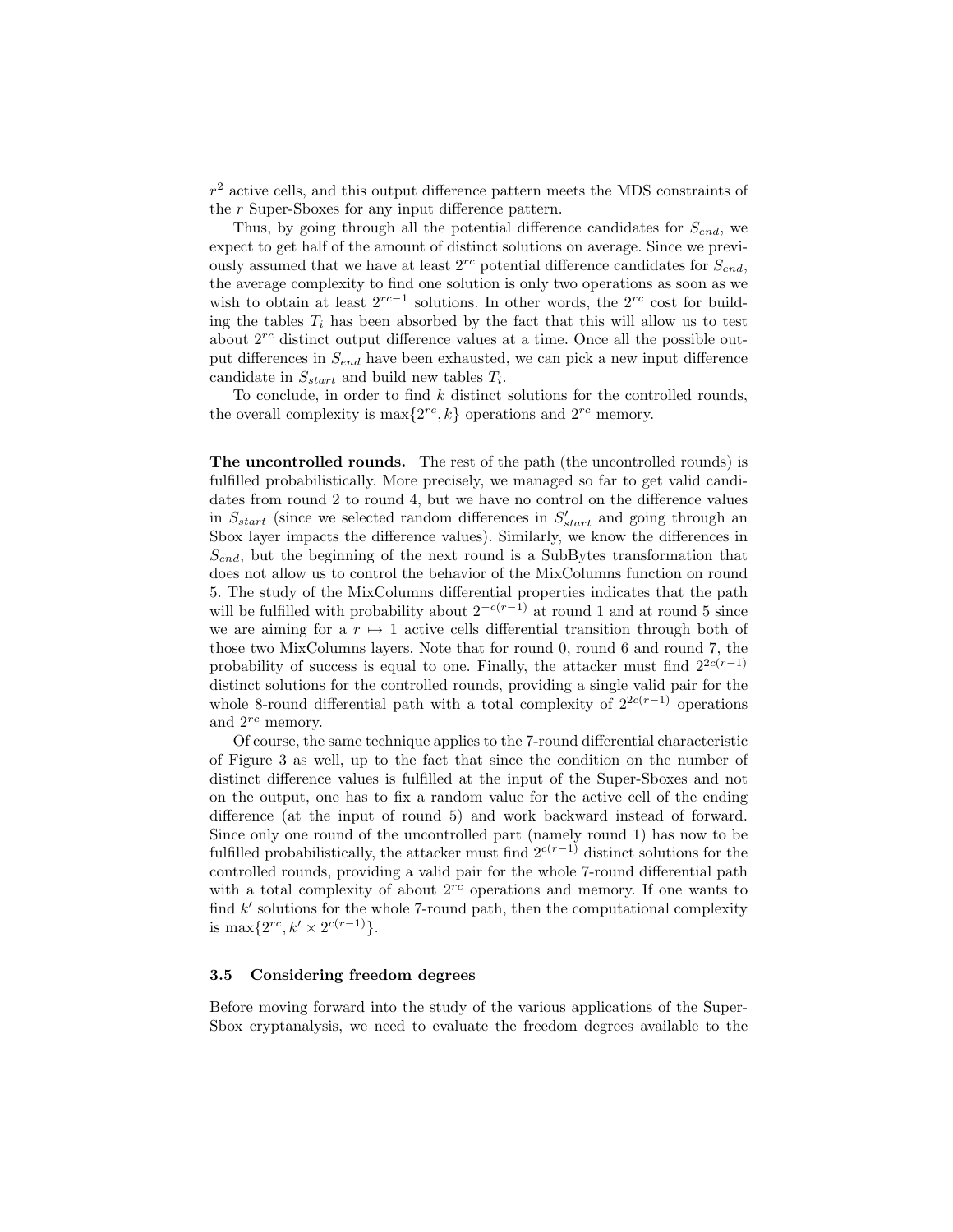$r<sup>2</sup>$  active cells, and this output difference pattern meets the MDS constraints of the r Super-Sboxes for any input difference pattern.

Thus, by going through all the potential difference candidates for  $S_{end}$ , we expect to get half of the amount of distinct solutions on average. Since we previously assumed that we have at least  $2^{rc}$  potential difference candidates for  $S_{end}$ , the average complexity to find one solution is only two operations as soon as we wish to obtain at least  $2^{rc-1}$  solutions. In other words, the  $2^{rc}$  cost for building the tables  $T_i$  has been absorbed by the fact that this will allow us to test about  $2^{rc}$  distinct output difference values at a time. Once all the possible output differences in  $S_{end}$  have been exhausted, we can pick a new input difference candidate in  $S_{start}$  and build new tables  $T_i$ .

To conclude, in order to find  $k$  distinct solutions for the controlled rounds, the overall complexity is  $\max\{2^{rc}, k\}$  operations and  $2^{rc}$  memory.

The uncontrolled rounds. The rest of the path (the uncontrolled rounds) is fulfilled probabilistically. More precisely, we managed so far to get valid candidates from round 2 to round 4, but we have no control on the difference values in  $S_{start}$  (since we selected random differences in  $S'_{start}$  and going through an Sbox layer impacts the difference values). Similarly, we know the differences in  $S_{end}$ , but the beginning of the next round is a SubBytes transformation that does not allow us to control the behavior of the MixColumns function on round 5. The study of the MixColumns differential properties indicates that the path will be fulfilled with probability about  $2^{-c(r-1)}$  at round 1 and at round 5 since we are aiming for a  $r \mapsto 1$  active cells differential transition through both of those two MixColumns layers. Note that for round 0, round 6 and round 7, the probability of success is equal to one. Finally, the attacker must find  $2^{2c(r-1)}$ distinct solutions for the controlled rounds, providing a single valid pair for the whole 8-round differential path with a total complexity of  $2^{2c(r-1)}$  operations and  $2^{rc}$  memory.

Of course, the same technique applies to the 7-round differential characteristic of Figure 3 as well, up to the fact that since the condition on the number of distinct difference values is fulfilled at the input of the Super-Sboxes and not on the output, one has to fix a random value for the active cell of the ending difference (at the input of round 5) and work backward instead of forward. Since only one round of the uncontrolled part (namely round 1) has now to be fulfilled probabilistically, the attacker must find  $2^{c(r-1)}$  distinct solutions for the controlled rounds, providing a valid pair for the whole 7-round differential path with a total complexity of about  $2^{rc}$  operations and memory. If one wants to find  $k'$  solutions for the whole 7-round path, then the computational complexity is max $\{2^{rc}, k' \times 2^{c(r-1)}\}.$ 

## 3.5 Considering freedom degrees

Before moving forward into the study of the various applications of the Super-Sbox cryptanalysis, we need to evaluate the freedom degrees available to the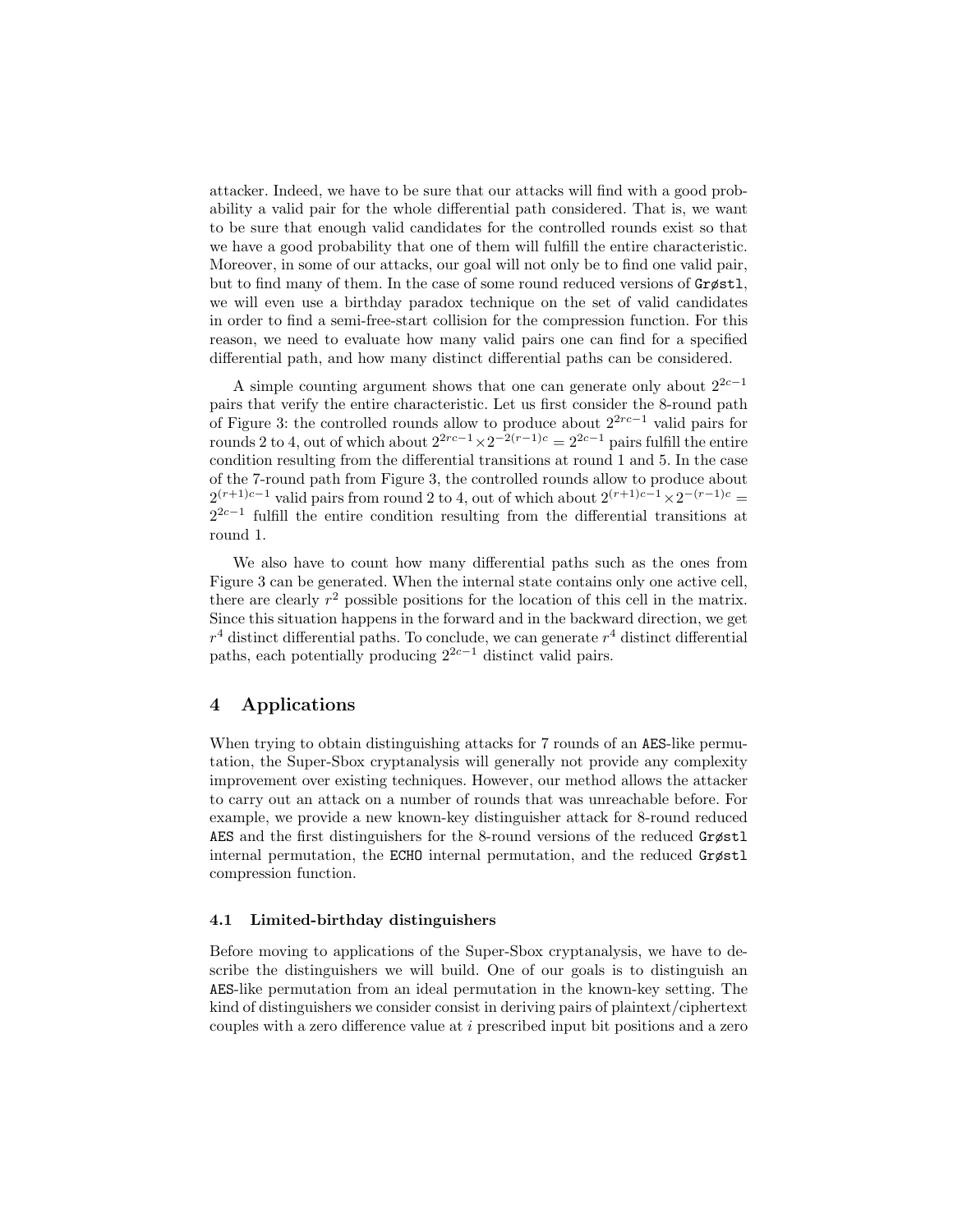attacker. Indeed, we have to be sure that our attacks will find with a good probability a valid pair for the whole differential path considered. That is, we want to be sure that enough valid candidates for the controlled rounds exist so that we have a good probability that one of them will fulfill the entire characteristic. Moreover, in some of our attacks, our goal will not only be to find one valid pair, but to find many of them. In the case of some round reduced versions of Grøstl, we will even use a birthday paradox technique on the set of valid candidates in order to find a semi-free-start collision for the compression function. For this reason, we need to evaluate how many valid pairs one can find for a specified differential path, and how many distinct differential paths can be considered.

A simple counting argument shows that one can generate only about  $2^{2c-1}$ pairs that verify the entire characteristic. Let us first consider the 8-round path of Figure 3: the controlled rounds allow to produce about 22rc−<sup>1</sup> valid pairs for rounds 2 to 4, out of which about  $2^{2rc-1} \times 2^{-2(r-1)c} = 2^{2c-1}$  pairs fulfill the entire condition resulting from the differential transitions at round 1 and 5. In the case of the 7-round path from Figure 3, the controlled rounds allow to produce about  $2^{(r+1)c-1}$  valid pairs from round 2 to 4, out of which about  $2^{(r+1)c-1} \times 2^{-(r-1)c}$  $2^{2c-1}$  fulfill the entire condition resulting from the differential transitions at round 1.

We also have to count how many differential paths such as the ones from Figure 3 can be generated. When the internal state contains only one active cell, there are clearly  $r^2$  possible positions for the location of this cell in the matrix. Since this situation happens in the forward and in the backward direction, we get  $r<sup>4</sup>$  distinct differential paths. To conclude, we can generate  $r<sup>4</sup>$  distinct differential paths, each potentially producing  $2^{2c-1}$  distinct valid pairs.

## 4 Applications

When trying to obtain distinguishing attacks for 7 rounds of an AES-like permutation, the Super-Sbox cryptanalysis will generally not provide any complexity improvement over existing techniques. However, our method allows the attacker to carry out an attack on a number of rounds that was unreachable before. For example, we provide a new known-key distinguisher attack for 8-round reduced AES and the first distinguishers for the 8-round versions of the reduced Grøstl internal permutation, the ECHO internal permutation, and the reduced Grøstl compression function.

## 4.1 Limited-birthday distinguishers

Before moving to applications of the Super-Sbox cryptanalysis, we have to describe the distinguishers we will build. One of our goals is to distinguish an AES-like permutation from an ideal permutation in the known-key setting. The kind of distinguishers we consider consist in deriving pairs of plaintext/ciphertext couples with a zero difference value at i prescribed input bit positions and a zero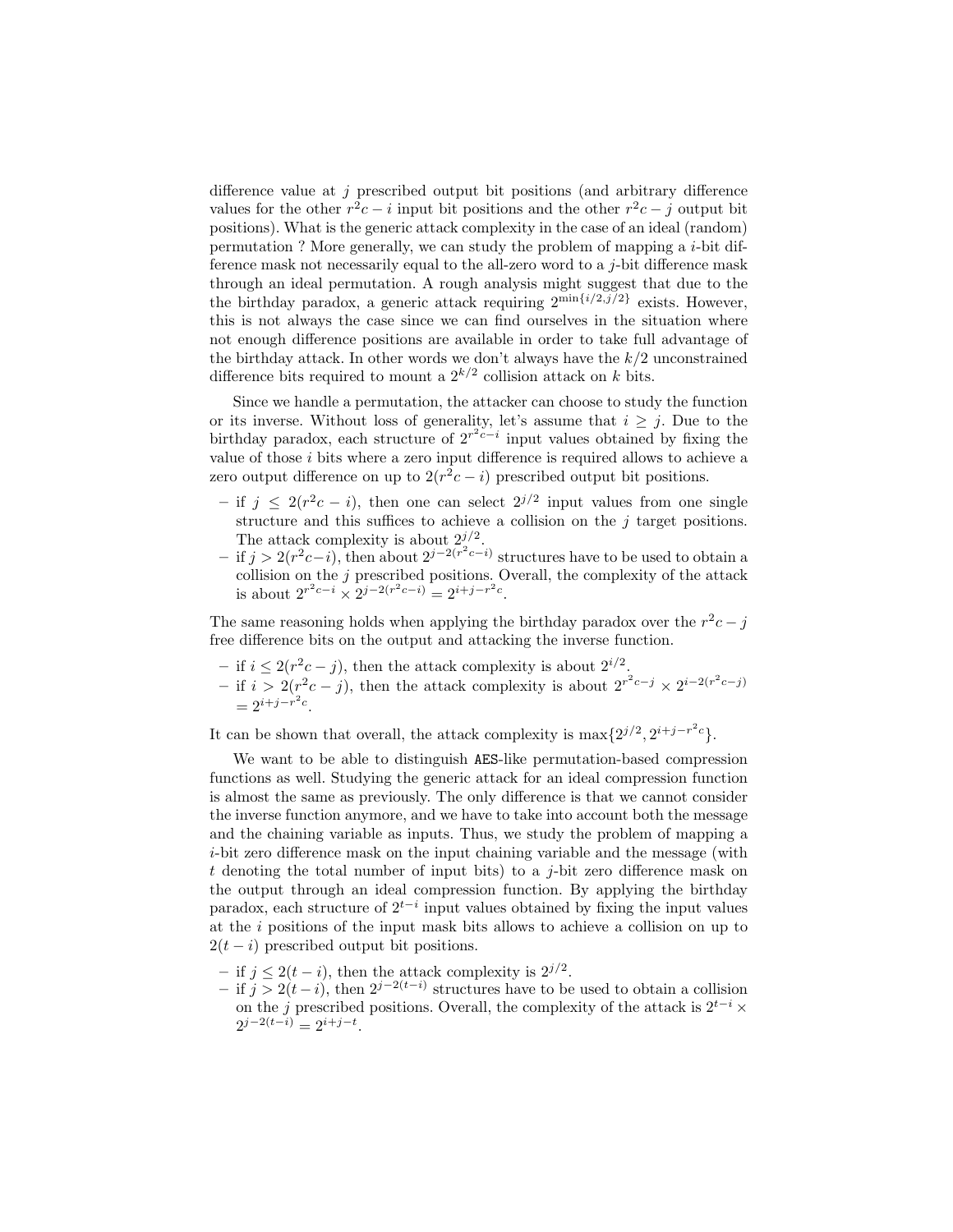difference value at  $j$  prescribed output bit positions (and arbitrary difference values for the other  $r^2c - i$  input bit positions and the other  $r^2c - j$  output bit positions). What is the generic attack complexity in the case of an ideal (random) permutation ? More generally, we can study the problem of mapping a  $i$ -bit difference mask not necessarily equal to the all-zero word to a  $j$ -bit difference mask through an ideal permutation. A rough analysis might suggest that due to the the birthday paradox, a generic attack requiring  $2^{\min\{i/2,j/2\}}$  exists. However, this is not always the case since we can find ourselves in the situation where not enough difference positions are available in order to take full advantage of the birthday attack. In other words we don't always have the  $k/2$  unconstrained difference bits required to mount a  $2^{k/2}$  collision attack on k bits.

Since we handle a permutation, the attacker can choose to study the function or its inverse. Without loss of generality, let's assume that  $i \geq j$ . Due to the birthday paradox, each structure of  $2^{r^2c-i}$  input values obtained by fixing the value of those  $i$  bits where a zero input difference is required allows to achieve a zero output difference on up to  $2(r^2c - i)$  prescribed output bit positions.

- $-$  if j ≤ 2( $r^2c i$ ), then one can select  $2^{j/2}$  input values from one single structure and this suffices to achieve a collision on the  $j$  target positions. The attack complexity is about  $2^{j/2}$ .
- $-$  if  $j > 2(r^2c i)$ , then about  $2^{j-2(r^2c i)}$  structures have to be used to obtain a collision on the  $j$  prescribed positions. Overall, the complexity of the attack is about  $2^{r^2c-i} \times 2^{j-2(r^2c-i)} = 2^{i+j-r^2c}$ .

The same reasoning holds when applying the birthday paradox over the  $r^2c - j$ free difference bits on the output and attacking the inverse function.

- − if  $i \leq 2(r^2c j)$ , then the attack complexity is about  $2^{i/2}$ .
- − if  $i > 2(r^2c j)$ , then the attack complexity is about  $2^{r^2c j} \times 2^{i-2(r^2c j)}$  $= 2^{i+j-r^2c}.$

It can be shown that overall, the attack complexity is  $\max\{2^{j/2}, 2^{i+j-r^2c}\}.$ 

We want to be able to distinguish AES-like permutation-based compression functions as well. Studying the generic attack for an ideal compression function is almost the same as previously. The only difference is that we cannot consider the inverse function anymore, and we have to take into account both the message and the chaining variable as inputs. Thus, we study the problem of mapping a i-bit zero difference mask on the input chaining variable and the message (with  $t$  denoting the total number of input bits) to a  $j$ -bit zero difference mask on the output through an ideal compression function. By applying the birthday paradox, each structure of  $2^{t-i}$  input values obtained by fixing the input values at the i positions of the input mask bits allows to achieve a collision on up to  $2(t - i)$  prescribed output bit positions.

- if  $j \leq 2(t i)$ , then the attack complexity is  $2^{j/2}$ .
- $-$  if  $j > 2(t i)$ , then  $2^{j-2(t-i)}$  structures have to be used to obtain a collision on the j prescribed positions. Overall, the complexity of the attack is  $2^{t-i} \times$  $2^{j-2(t-i)} = 2^{i+j-t}.$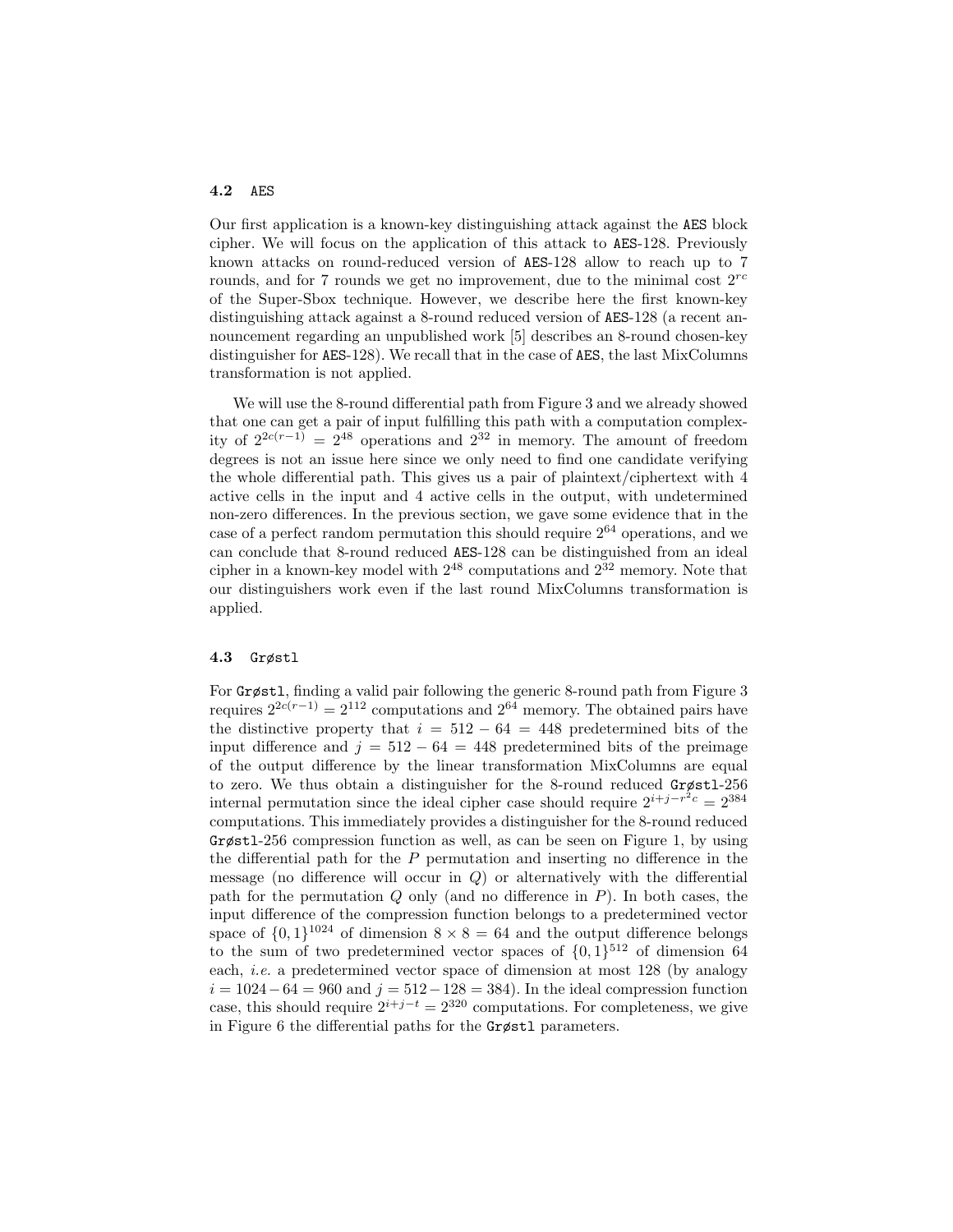## 4.2 AES

Our first application is a known-key distinguishing attack against the AES block cipher. We will focus on the application of this attack to AES-128. Previously known attacks on round-reduced version of AES-128 allow to reach up to 7 rounds, and for 7 rounds we get no improvement, due to the minimal cost  $2^{rc}$ of the Super-Sbox technique. However, we describe here the first known-key distinguishing attack against a 8-round reduced version of AES-128 (a recent announcement regarding an unpublished work [5] describes an 8-round chosen-key distinguisher for AES-128). We recall that in the case of AES, the last MixColumns transformation is not applied.

We will use the 8-round differential path from Figure 3 and we already showed that one can get a pair of input fulfilling this path with a computation complexity of  $2^{2c(r-1)} = 2^{48}$  operations and  $2^{32}$  in memory. The amount of freedom degrees is not an issue here since we only need to find one candidate verifying the whole differential path. This gives us a pair of plaintext/ciphertext with 4 active cells in the input and 4 active cells in the output, with undetermined non-zero differences. In the previous section, we gave some evidence that in the case of a perfect random permutation this should require  $2^{64}$  operations, and we can conclude that 8-round reduced AES-128 can be distinguished from an ideal cipher in a known-key model with  $2^{48}$  computations and  $2^{32}$  memory. Note that our distinguishers work even if the last round MixColumns transformation is applied.

#### 4.3 Grøstl

For Grøstl, finding a valid pair following the generic 8-round path from Figure 3 requires  $2^{2c(r-1)} = 2^{112}$  computations and  $2^{64}$  memory. The obtained pairs have the distinctive property that  $i = 512 - 64 = 448$  predetermined bits of the input difference and  $j = 512 - 64 = 448$  predetermined bits of the preimage of the output difference by the linear transformation MixColumns are equal to zero. We thus obtain a distinguisher for the 8-round reduced Grøstl-256 internal permutation since the ideal cipher case should require  $2^{i+j-r^2c} = 2^{384}$ computations. This immediately provides a distinguisher for the 8-round reduced Grøstl-256 compression function as well, as can be seen on Figure 1, by using the differential path for the  $P$  permutation and inserting no difference in the message (no difference will occur in  $Q$ ) or alternatively with the differential path for the permutation  $Q$  only (and no difference in  $P$ ). In both cases, the input difference of the compression function belongs to a predetermined vector space of  $\{0,1\}^{1024}$  of dimension  $8 \times 8 = 64$  and the output difference belongs to the sum of two predetermined vector spaces of  $\{0,1\}^{512}$  of dimension 64 each, *i.e.* a predetermined vector space of dimension at most 128 (by analogy  $i = 1024 - 64 = 960$  and  $j = 512 - 128 = 384$ . In the ideal compression function case, this should require  $2^{i+j-t} = 2^{320}$  computations. For completeness, we give in Figure 6 the differential paths for the Grøstl parameters.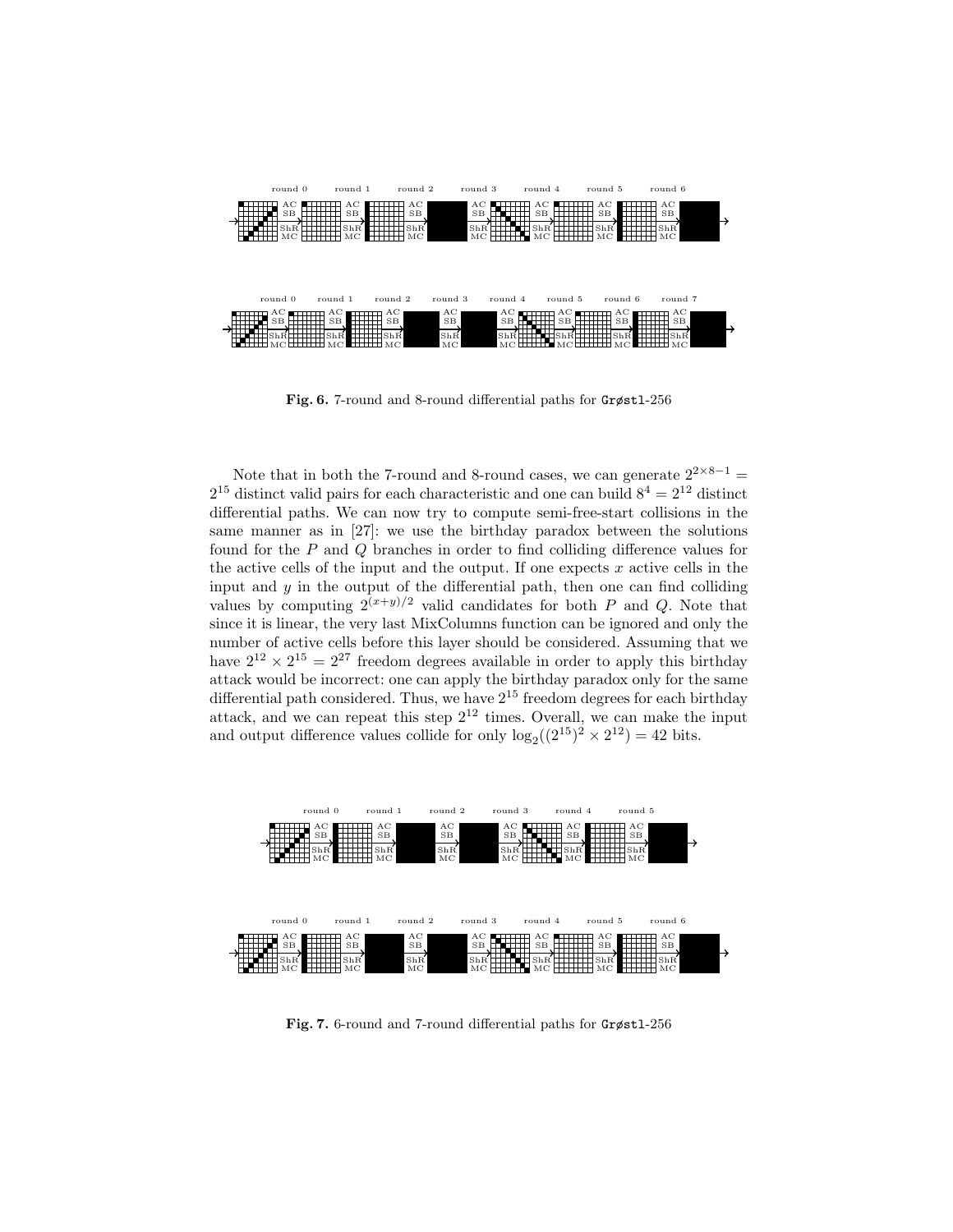

Fig. 6. 7-round and 8-round differential paths for Grøstl-256

Note that in both the 7-round and 8-round cases, we can generate  $2^{2 \times 8 - 1}$  =  $2^{15}$  distinct valid pairs for each characteristic and one can build  $8^4 = 2^{12}$  distinct differential paths. We can now try to compute semi-free-start collisions in the same manner as in [27]: we use the birthday paradox between the solutions found for the P and Q branches in order to find colliding difference values for the active cells of the input and the output. If one expects  $x$  active cells in the input and  $y$  in the output of the differential path, then one can find colliding values by computing  $2^{(x+y)/2}$  valid candidates for both P and Q. Note that since it is linear, the very last MixColumns function can be ignored and only the number of active cells before this layer should be considered. Assuming that we have  $2^{12} \times 2^{15} = 2^{27}$  freedom degrees available in order to apply this birthday attack would be incorrect: one can apply the birthday paradox only for the same differential path considered. Thus, we have  $2^{15}$  freedom degrees for each birthday attack, and we can repeat this step  $2^{12}$  times. Overall, we can make the input and output difference values collide for only  $\log_2((2^{15})^2 \times 2^{12}) = 42$  bits.



Fig. 7. 6-round and 7-round differential paths for Grøstl-256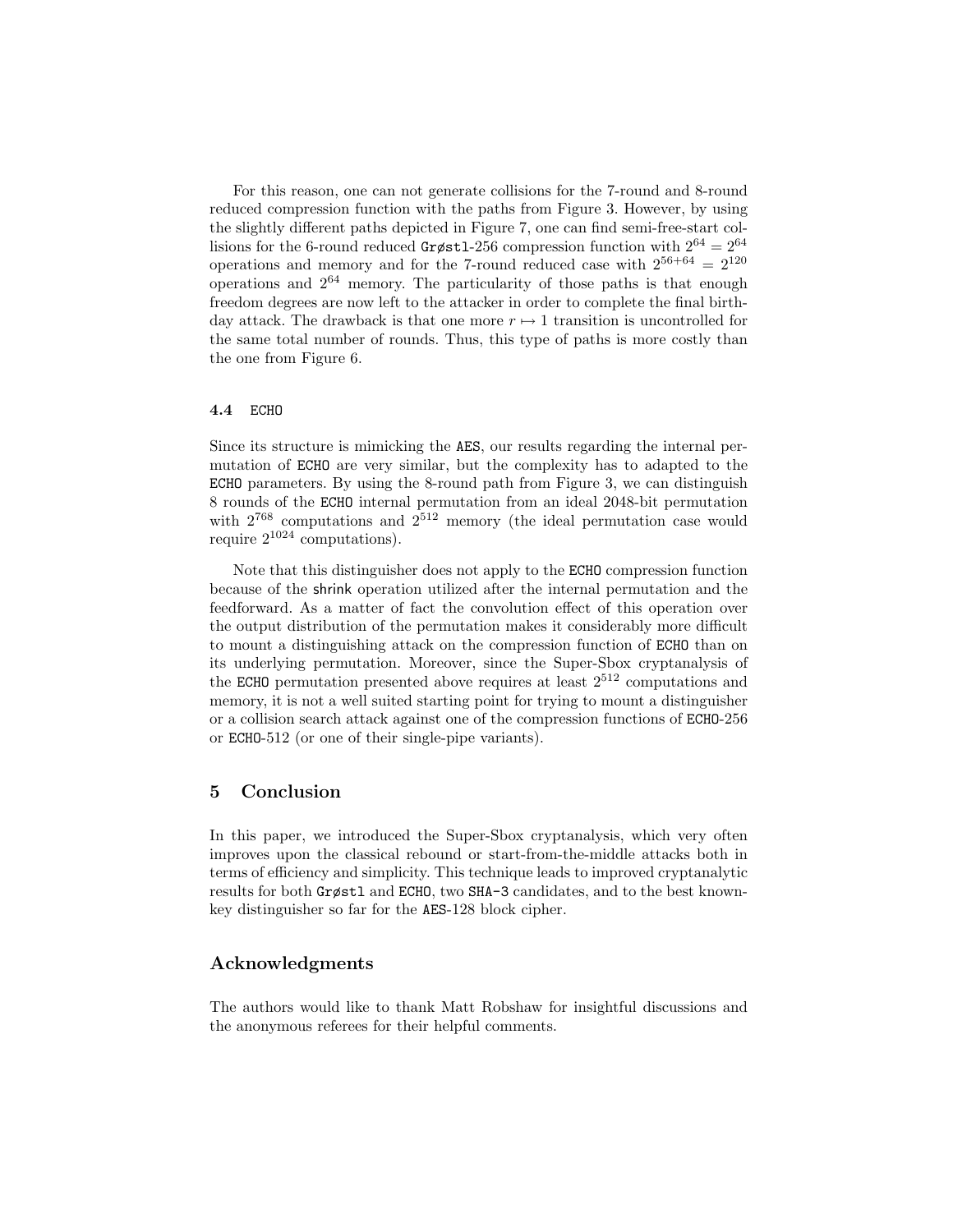For this reason, one can not generate collisions for the 7-round and 8-round reduced compression function with the paths from Figure 3. However, by using the slightly different paths depicted in Figure 7, one can find semi-free-start collisions for the 6-round reduced Grøstl-256 compression function with  $2^{64} = 2^{64}$ operations and memory and for the 7-round reduced case with  $2^{56+64} = 2^{120}$ operations and  $2^{64}$  memory. The particularity of those paths is that enough freedom degrees are now left to the attacker in order to complete the final birthday attack. The drawback is that one more  $r \mapsto 1$  transition is uncontrolled for the same total number of rounds. Thus, this type of paths is more costly than the one from Figure 6.

#### 4.4 ECHO

Since its structure is mimicking the AES, our results regarding the internal permutation of ECHO are very similar, but the complexity has to adapted to the ECHO parameters. By using the 8-round path from Figure 3, we can distinguish 8 rounds of the ECHO internal permutation from an ideal 2048-bit permutation with  $2^{768}$  computations and  $2^{512}$  memory (the ideal permutation case would require  $2^{1024}$  computations).

Note that this distinguisher does not apply to the ECHO compression function because of the shrink operation utilized after the internal permutation and the feedforward. As a matter of fact the convolution effect of this operation over the output distribution of the permutation makes it considerably more difficult to mount a distinguishing attack on the compression function of ECHO than on its underlying permutation. Moreover, since the Super-Sbox cryptanalysis of the ECHO permutation presented above requires at least  $2^{512}$  computations and memory, it is not a well suited starting point for trying to mount a distinguisher or a collision search attack against one of the compression functions of ECHO-256 or ECHO-512 (or one of their single-pipe variants).

## 5 Conclusion

In this paper, we introduced the Super-Sbox cryptanalysis, which very often improves upon the classical rebound or start-from-the-middle attacks both in terms of efficiency and simplicity. This technique leads to improved cryptanalytic results for both Grøstl and ECHO, two SHA-3 candidates, and to the best knownkey distinguisher so far for the AES-128 block cipher.

## Acknowledgments

The authors would like to thank Matt Robshaw for insightful discussions and the anonymous referees for their helpful comments.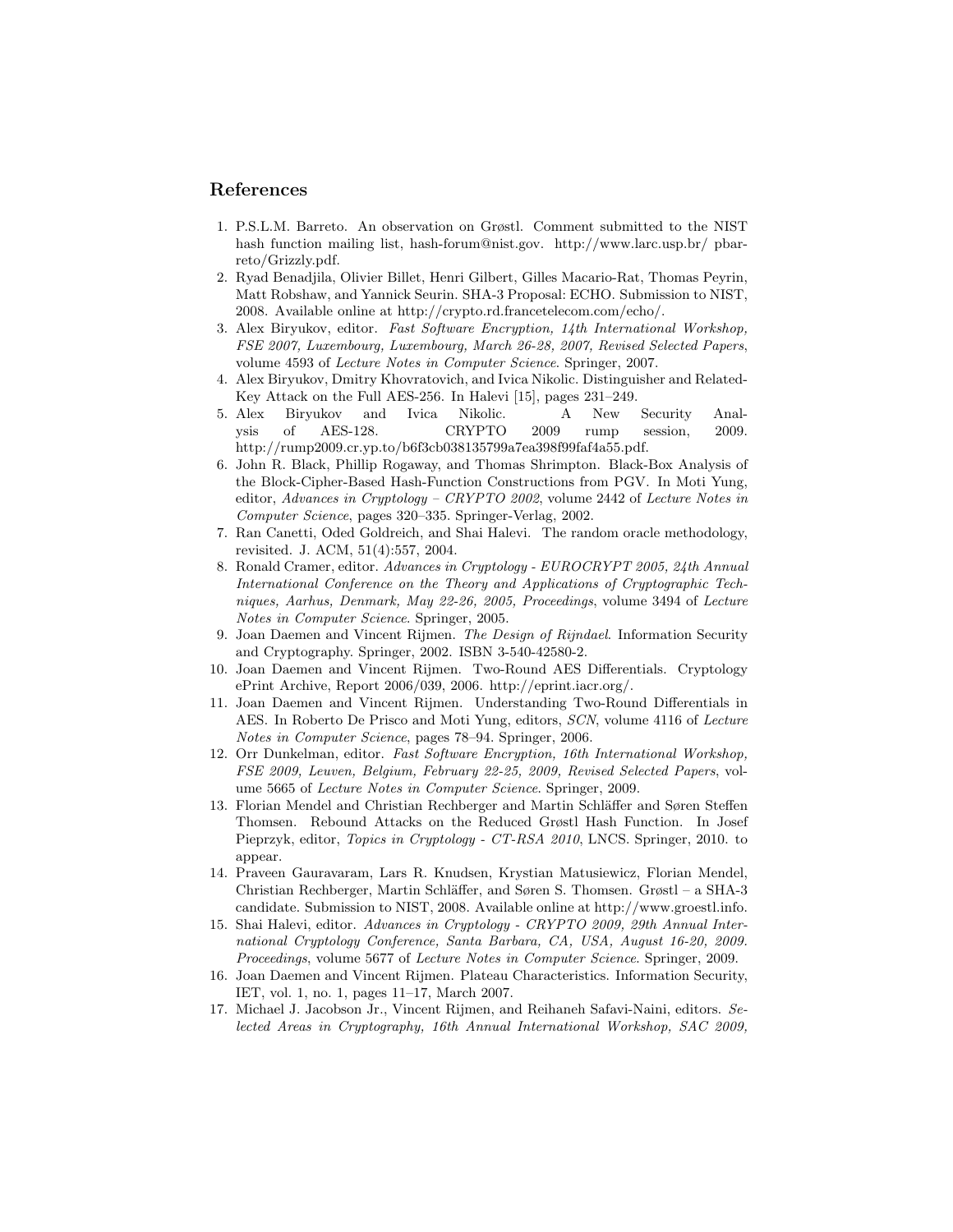## References

- 1. P.S.L.M. Barreto. An observation on Grøstl. Comment submitted to the NIST hash function mailing list, hash-forum@nist.gov. http://www.larc.usp.br/ pbarreto/Grizzly.pdf.
- 2. Ryad Benadjila, Olivier Billet, Henri Gilbert, Gilles Macario-Rat, Thomas Peyrin, Matt Robshaw, and Yannick Seurin. SHA-3 Proposal: ECHO. Submission to NIST, 2008. Available online at http://crypto.rd.francetelecom.com/echo/.
- 3. Alex Biryukov, editor. Fast Software Encryption, 14th International Workshop, FSE 2007, Luxembourg, Luxembourg, March 26-28, 2007, Revised Selected Papers, volume 4593 of Lecture Notes in Computer Science. Springer, 2007.
- 4. Alex Biryukov, Dmitry Khovratovich, and Ivica Nikolic. Distinguisher and Related-Key Attack on the Full AES-256. In Halevi [15], pages 231–249.
- 5. Alex Biryukov and Ivica Nikolic. A New Security Analysis of AES-128. CRYPTO 2009 rump session, 2009. http://rump2009.cr.yp.to/b6f3cb038135799a7ea398f99faf4a55.pdf.
- 6. John R. Black, Phillip Rogaway, and Thomas Shrimpton. Black-Box Analysis of the Block-Cipher-Based Hash-Function Constructions from PGV. In Moti Yung, editor, Advances in Cryptology – CRYPTO 2002, volume 2442 of Lecture Notes in Computer Science, pages 320–335. Springer-Verlag, 2002.
- 7. Ran Canetti, Oded Goldreich, and Shai Halevi. The random oracle methodology, revisited. J. ACM, 51(4):557, 2004.
- 8. Ronald Cramer, editor. Advances in Cryptology EUROCRYPT 2005, 24th Annual International Conference on the Theory and Applications of Cryptographic Techniques, Aarhus, Denmark, May 22-26, 2005, Proceedings, volume 3494 of Lecture Notes in Computer Science. Springer, 2005.
- 9. Joan Daemen and Vincent Rijmen. The Design of Rijndael. Information Security and Cryptography. Springer, 2002. ISBN 3-540-42580-2.
- 10. Joan Daemen and Vincent Rijmen. Two-Round AES Differentials. Cryptology ePrint Archive, Report 2006/039, 2006. http://eprint.iacr.org/.
- 11. Joan Daemen and Vincent Rijmen. Understanding Two-Round Differentials in AES. In Roberto De Prisco and Moti Yung, editors, SCN, volume 4116 of Lecture Notes in Computer Science, pages 78–94. Springer, 2006.
- 12. Orr Dunkelman, editor. Fast Software Encryption, 16th International Workshop, FSE 2009, Leuven, Belgium, February 22-25, 2009, Revised Selected Papers, volume 5665 of Lecture Notes in Computer Science. Springer, 2009.
- 13. Florian Mendel and Christian Rechberger and Martin Schläffer and Søren Steffen Thomsen. Rebound Attacks on the Reduced Grøstl Hash Function. In Josef Pieprzyk, editor, Topics in Cryptology - CT-RSA 2010, LNCS. Springer, 2010. to appear.
- 14. Praveen Gauravaram, Lars R. Knudsen, Krystian Matusiewicz, Florian Mendel, Christian Rechberger, Martin Schl¨affer, and Søren S. Thomsen. Grøstl – a SHA-3 candidate. Submission to NIST, 2008. Available online at http://www.groestl.info.
- 15. Shai Halevi, editor. Advances in Cryptology CRYPTO 2009, 29th Annual International Cryptology Conference, Santa Barbara, CA, USA, August 16-20, 2009. Proceedings, volume 5677 of Lecture Notes in Computer Science. Springer, 2009.
- 16. Joan Daemen and Vincent Rijmen. Plateau Characteristics. Information Security, IET, vol. 1, no. 1, pages 11–17, March 2007.
- 17. Michael J. Jacobson Jr., Vincent Rijmen, and Reihaneh Safavi-Naini, editors. Selected Areas in Cryptography, 16th Annual International Workshop, SAC 2009,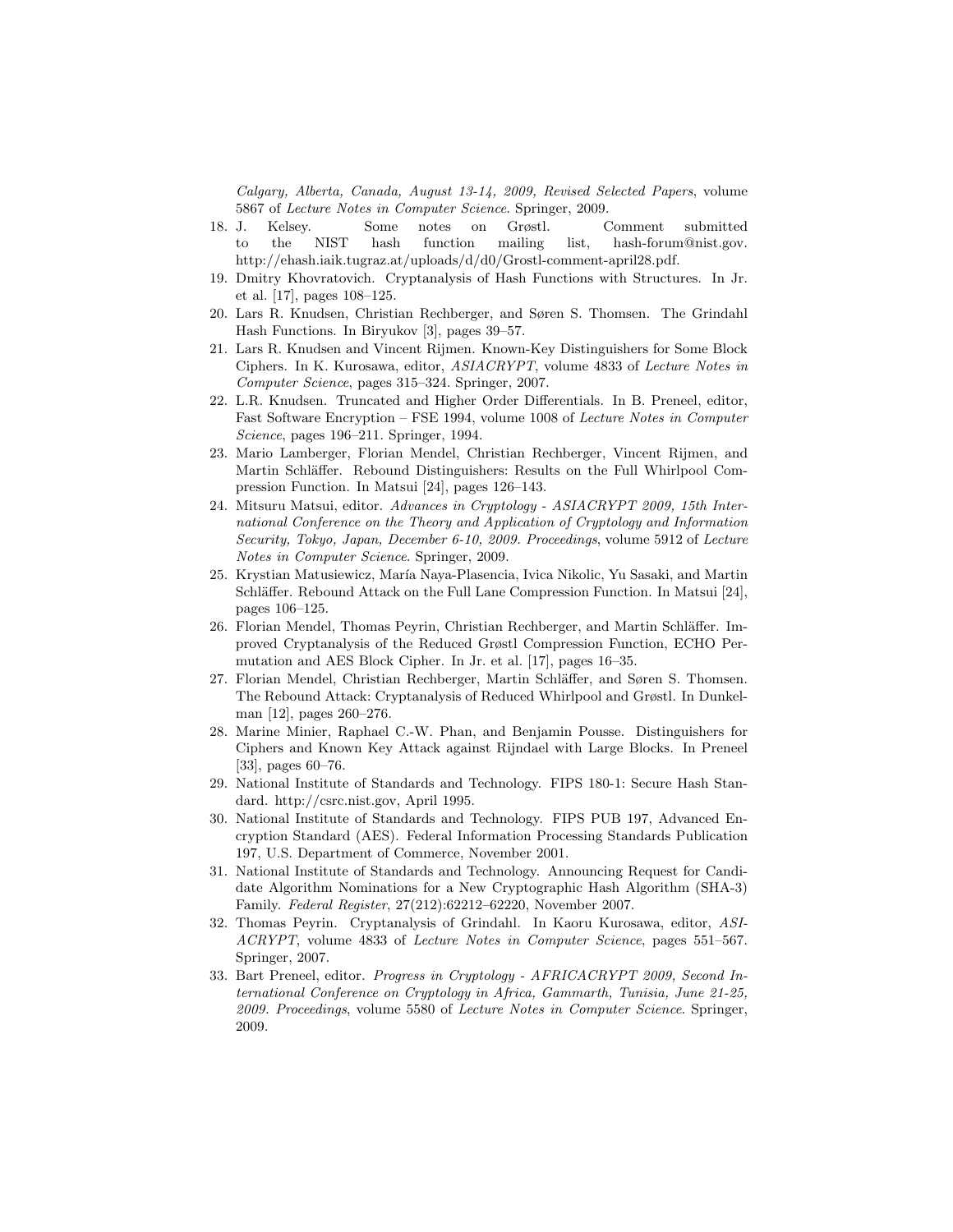Calgary, Alberta, Canada, August 13-14, 2009, Revised Selected Papers, volume 5867 of Lecture Notes in Computer Science. Springer, 2009.

- 18. J. Kelsey. Some notes on Grøstl. Comment submitted to the NIST hash function mailing list, hash-forum@nist.gov. http://ehash.iaik.tugraz.at/uploads/d/d0/Grostl-comment-april28.pdf.
- 19. Dmitry Khovratovich. Cryptanalysis of Hash Functions with Structures. In Jr. et al. [17], pages 108–125.
- 20. Lars R. Knudsen, Christian Rechberger, and Søren S. Thomsen. The Grindahl Hash Functions. In Biryukov [3], pages 39–57.
- 21. Lars R. Knudsen and Vincent Rijmen. Known-Key Distinguishers for Some Block Ciphers. In K. Kurosawa, editor, ASIACRYPT, volume 4833 of Lecture Notes in Computer Science, pages 315–324. Springer, 2007.
- 22. L.R. Knudsen. Truncated and Higher Order Differentials. In B. Preneel, editor, Fast Software Encryption – FSE 1994, volume 1008 of Lecture Notes in Computer Science, pages 196–211. Springer, 1994.
- 23. Mario Lamberger, Florian Mendel, Christian Rechberger, Vincent Rijmen, and Martin Schläffer. Rebound Distinguishers: Results on the Full Whirlpool Compression Function. In Matsui [24], pages 126–143.
- 24. Mitsuru Matsui, editor. Advances in Cryptology ASIACRYPT 2009, 15th International Conference on the Theory and Application of Cryptology and Information Security, Tokyo, Japan, December 6-10, 2009. Proceedings, volume 5912 of Lecture Notes in Computer Science. Springer, 2009.
- 25. Krystian Matusiewicz, María Naya-Plasencia, Ivica Nikolic, Yu Sasaki, and Martin Schläffer. Rebound Attack on the Full Lane Compression Function. In Matsui [24], pages 106–125.
- 26. Florian Mendel, Thomas Peyrin, Christian Rechberger, and Martin Schläffer. Improved Cryptanalysis of the Reduced Grøstl Compression Function, ECHO Permutation and AES Block Cipher. In Jr. et al. [17], pages 16–35.
- 27. Florian Mendel, Christian Rechberger, Martin Schl¨affer, and Søren S. Thomsen. The Rebound Attack: Cryptanalysis of Reduced Whirlpool and Grøstl. In Dunkelman [12], pages 260–276.
- 28. Marine Minier, Raphael C.-W. Phan, and Benjamin Pousse. Distinguishers for Ciphers and Known Key Attack against Rijndael with Large Blocks. In Preneel [33], pages 60–76.
- 29. National Institute of Standards and Technology. FIPS 180-1: Secure Hash Standard. http://csrc.nist.gov, April 1995.
- 30. National Institute of Standards and Technology. FIPS PUB 197, Advanced Encryption Standard (AES). Federal Information Processing Standards Publication 197, U.S. Department of Commerce, November 2001.
- 31. National Institute of Standards and Technology. Announcing Request for Candidate Algorithm Nominations for a New Cryptographic Hash Algorithm (SHA-3) Family. Federal Register, 27(212):62212–62220, November 2007.
- 32. Thomas Peyrin. Cryptanalysis of Grindahl. In Kaoru Kurosawa, editor, ASI-ACRYPT, volume 4833 of Lecture Notes in Computer Science, pages 551–567. Springer, 2007.
- 33. Bart Preneel, editor. Progress in Cryptology AFRICACRYPT 2009, Second International Conference on Cryptology in Africa, Gammarth, Tunisia, June 21-25, 2009. Proceedings, volume 5580 of Lecture Notes in Computer Science. Springer, 2009.